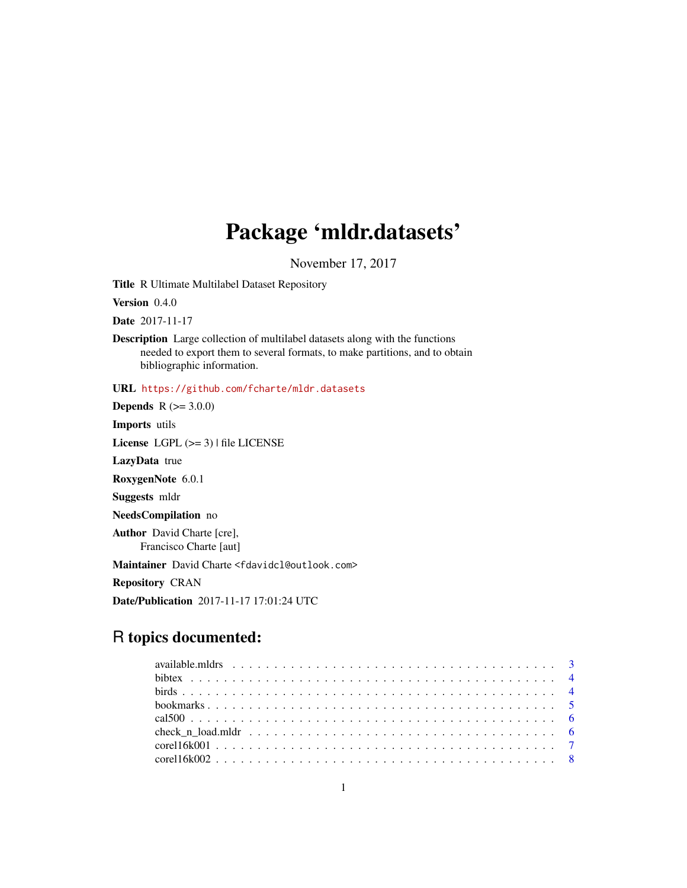## Package 'mldr.datasets'

November 17, 2017

Title R Ultimate Multilabel Dataset Repository

Version 0.4.0

Date 2017-11-17

Description Large collection of multilabel datasets along with the functions needed to export them to several formats, to make partitions, and to obtain bibliographic information.

URL <https://github.com/fcharte/mldr.datasets>

**Depends** R  $(>= 3.0.0)$ 

Imports utils

License LGPL (>= 3) | file LICENSE

LazyData true

RoxygenNote 6.0.1

Suggests mldr

NeedsCompilation no

Author David Charte [cre], Francisco Charte [aut]

Maintainer David Charte <fdavidcl@outlook.com>

Repository CRAN

Date/Publication 2017-11-17 17:01:24 UTC

## R topics documented: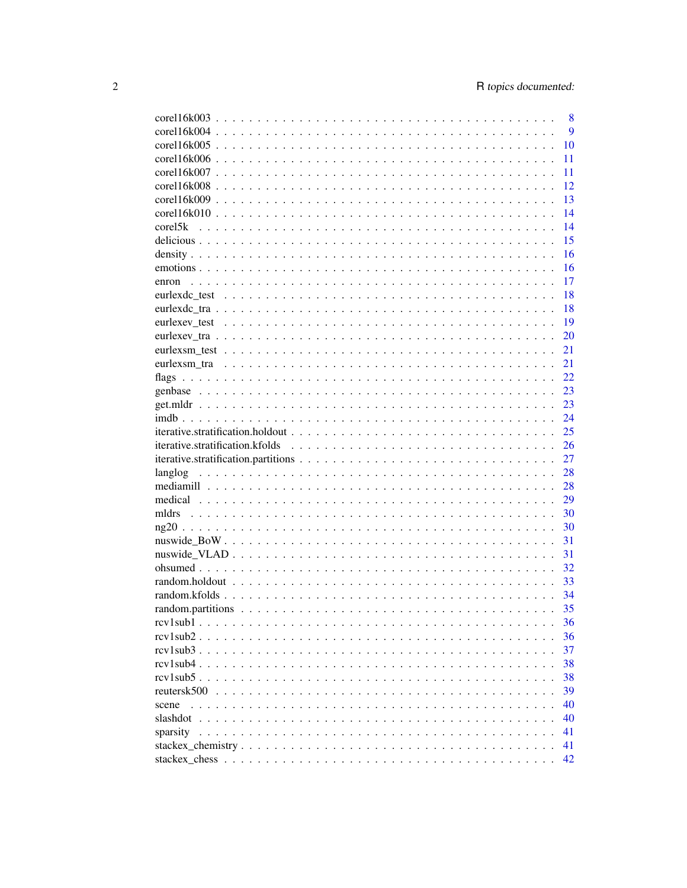| $core116k003$  | 8  |
|----------------|----|
|                | 9  |
|                | 10 |
|                | 11 |
|                | 11 |
|                | 12 |
|                | 13 |
|                | 14 |
|                | 14 |
|                | 15 |
|                | 16 |
|                | 16 |
| enron          | 17 |
|                | 18 |
|                | 18 |
|                | 19 |
|                | 20 |
|                | 21 |
|                |    |
|                | 21 |
|                | 22 |
|                | 23 |
|                | 23 |
|                | 24 |
|                | 25 |
|                |    |
|                | 26 |
|                | 27 |
| langlog        | 28 |
|                | 28 |
|                | 29 |
| mldrs          | 30 |
|                | 30 |
|                | 31 |
|                | 31 |
|                | 32 |
|                | 33 |
|                | 34 |
|                | 35 |
|                | 36 |
|                | 36 |
|                | 37 |
|                | 38 |
|                | 38 |
| reutersk $500$ | 39 |
| scene          | 40 |
|                | 40 |
| sparsity       | 41 |
|                | 41 |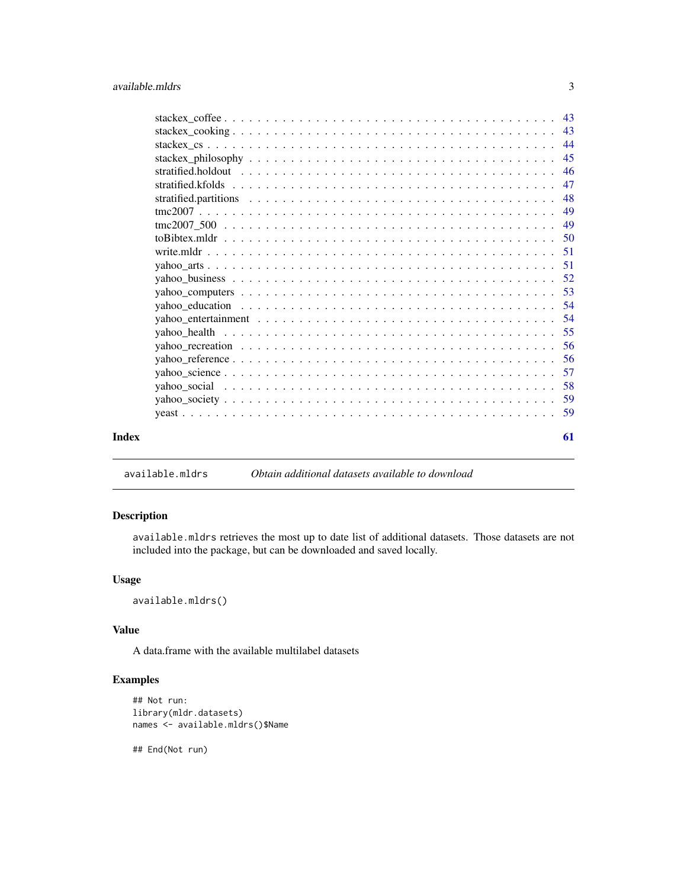<span id="page-2-0"></span>

| 58<br>59 |
|----------|
|          |
|          |
|          |
| 56<br>57 |
| .56      |
| 55       |
| 54       |
| 54       |
| 53       |
| 52       |
| -51      |
| -51      |
| 50       |
| 49       |
| 49       |
| 48       |
| 47       |
| 46       |
| 45       |
| 44       |
| 43       |
|          |

## available.mldrs *Obtain additional datasets available to download*

## Description

available.mldrs retrieves the most up to date list of additional datasets. Those datasets are not included into the package, but can be downloaded and saved locally.

### Usage

available.mldrs()

### Value

A data.frame with the available multilabel datasets

### Examples

```
## Not run:
library(mldr.datasets)
names <- available.mldrs()$Name
```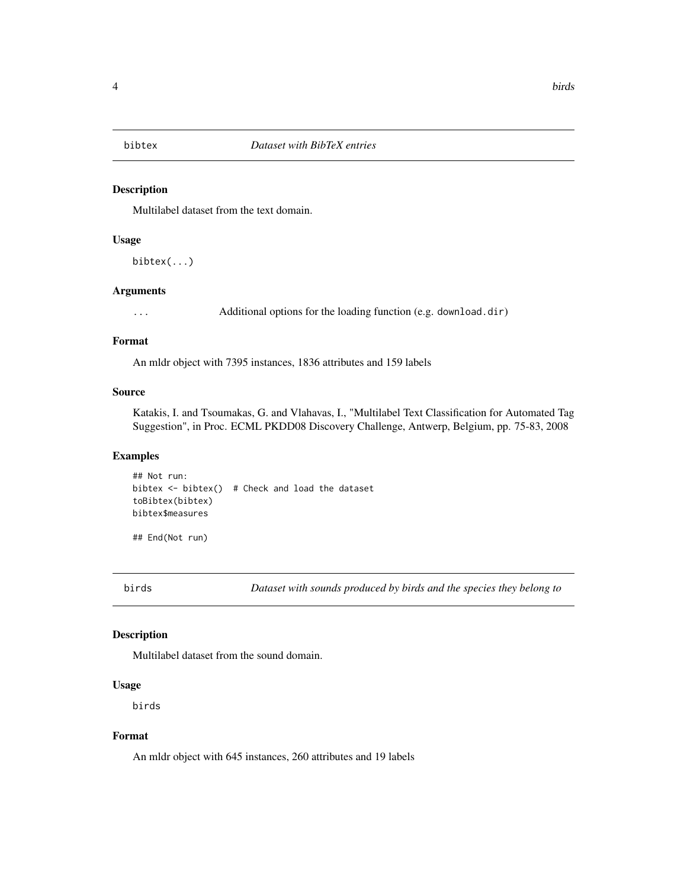<span id="page-3-0"></span>Multilabel dataset from the text domain.

### Usage

bibtex(...)

### Arguments

... Additional options for the loading function (e.g. download.dir)

### Format

An mldr object with 7395 instances, 1836 attributes and 159 labels

### Source

Katakis, I. and Tsoumakas, G. and Vlahavas, I., "Multilabel Text Classification for Automated Tag Suggestion", in Proc. ECML PKDD08 Discovery Challenge, Antwerp, Belgium, pp. 75-83, 2008

### Examples

## Not run: bibtex  $\le$  bibtex() # Check and load the dataset toBibtex(bibtex) bibtex\$measures

## End(Not run)

birds *Dataset with sounds produced by birds and the species they belong to*

### Description

Multilabel dataset from the sound domain.

### Usage

birds

### Format

An mldr object with 645 instances, 260 attributes and 19 labels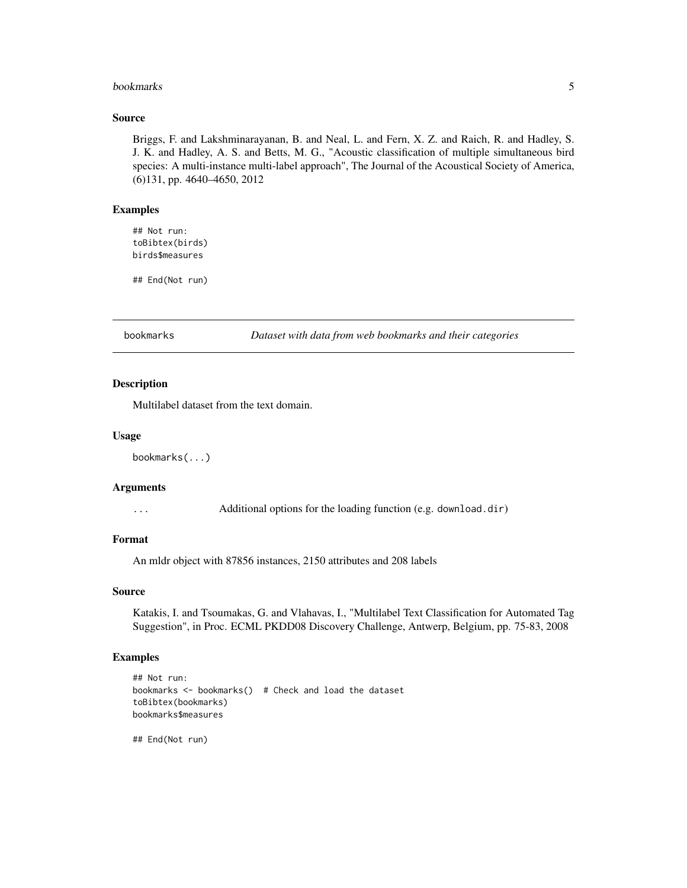#### <span id="page-4-0"></span>bookmarks 5

#### Source

Briggs, F. and Lakshminarayanan, B. and Neal, L. and Fern, X. Z. and Raich, R. and Hadley, S. J. K. and Hadley, A. S. and Betts, M. G., "Acoustic classification of multiple simultaneous bird species: A multi-instance multi-label approach", The Journal of the Acoustical Society of America, (6)131, pp. 4640–4650, 2012

### Examples

## Not run: toBibtex(birds) birds\$measures

## End(Not run)

bookmarks *Dataset with data from web bookmarks and their categories*

#### Description

Multilabel dataset from the text domain.

#### Usage

bookmarks(...)

#### Arguments

... Additional options for the loading function (e.g. download.dir)

#### Format

An mldr object with 87856 instances, 2150 attributes and 208 labels

#### Source

Katakis, I. and Tsoumakas, G. and Vlahavas, I., "Multilabel Text Classification for Automated Tag Suggestion", in Proc. ECML PKDD08 Discovery Challenge, Antwerp, Belgium, pp. 75-83, 2008

### Examples

```
## Not run:
bookmarks <- bookmarks() # Check and load the dataset
toBibtex(bookmarks)
bookmarks$measures
```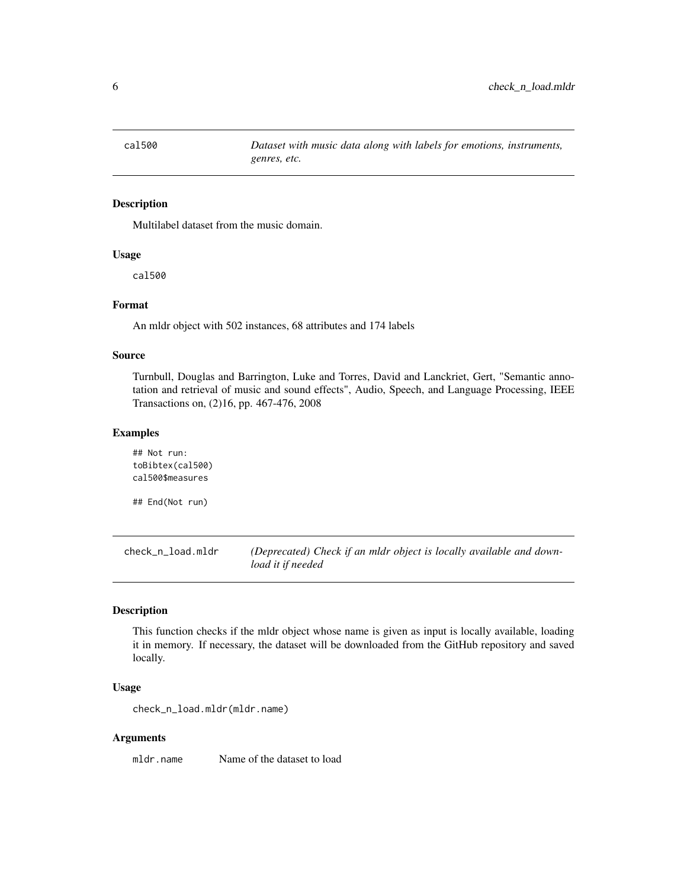<span id="page-5-0"></span>

Multilabel dataset from the music domain.

### Usage

cal500

### Format

An mldr object with 502 instances, 68 attributes and 174 labels

### Source

Turnbull, Douglas and Barrington, Luke and Torres, David and Lanckriet, Gert, "Semantic annotation and retrieval of music and sound effects", Audio, Speech, and Language Processing, IEEE Transactions on, (2)16, pp. 467-476, 2008

### Examples

## Not run: toBibtex(cal500) cal500\$measures

## End(Not run)

check\_n\_load.mldr *(Deprecated) Check if an mldr object is locally available and download it if needed*

### Description

This function checks if the mldr object whose name is given as input is locally available, loading it in memory. If necessary, the dataset will be downloaded from the GitHub repository and saved locally.

### Usage

check\_n\_load.mldr(mldr.name)

#### Arguments

mldr.name Name of the dataset to load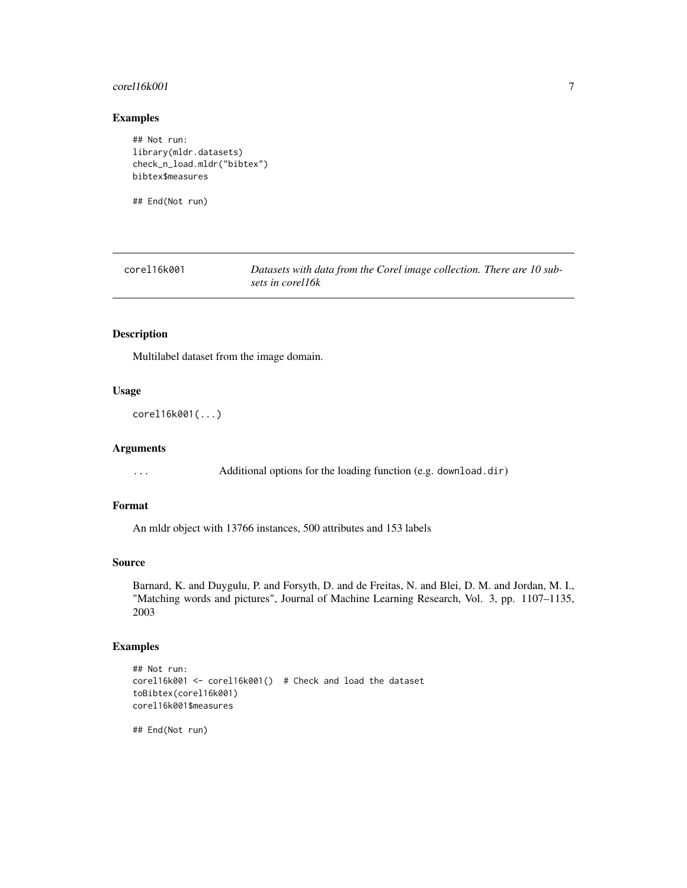#### <span id="page-6-0"></span> $\text{core116k001}$   $\qquad \qquad$  7

### Examples

## Not run: library(mldr.datasets) check\_n\_load.mldr("bibtex") bibtex\$measures

## End(Not run)

corel16k001 *Datasets with data from the Corel image collection. There are 10 subsets in corel16k*

#### Description

Multilabel dataset from the image domain.

#### Usage

corel16k001(...)

#### Arguments

... Additional options for the loading function (e.g. download.dir)

### Format

An mldr object with 13766 instances, 500 attributes and 153 labels

### Source

Barnard, K. and Duygulu, P. and Forsyth, D. and de Freitas, N. and Blei, D. M. and Jordan, M. I., "Matching words and pictures", Journal of Machine Learning Research, Vol. 3, pp. 1107–1135, 2003

### Examples

```
## Not run:
corel16k001 <- corel16k001() # Check and load the dataset
toBibtex(corel16k001)
corel16k001$measures
```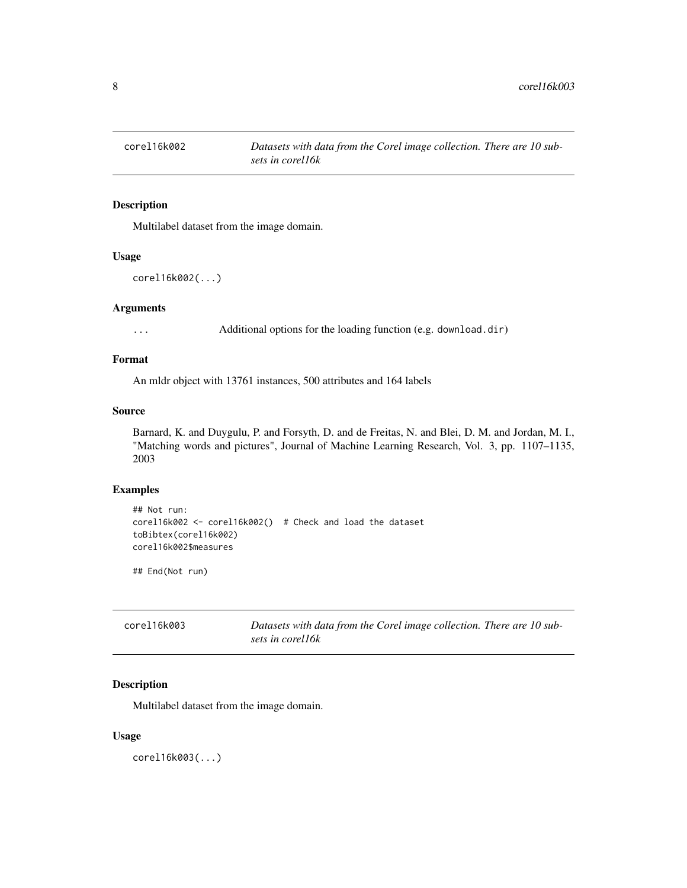<span id="page-7-0"></span>

Multilabel dataset from the image domain.

#### Usage

```
corel16k002(...)
```
### Arguments

... Additional options for the loading function (e.g. download.dir)

### Format

An mldr object with 13761 instances, 500 attributes and 164 labels

#### Source

Barnard, K. and Duygulu, P. and Forsyth, D. and de Freitas, N. and Blei, D. M. and Jordan, M. I., "Matching words and pictures", Journal of Machine Learning Research, Vol. 3, pp. 1107–1135, 2003

### Examples

```
## Not run:
corel16k002 <- corel16k002() # Check and load the dataset
toBibtex(corel16k002)
corel16k002$measures
```
## End(Not run)

| corel16k003 | Datasets with data from the Corel image collection. There are 10 sub- |  |
|-------------|-----------------------------------------------------------------------|--|
|             | sets in corel16k                                                      |  |

### Description

Multilabel dataset from the image domain.

#### Usage

corel16k003(...)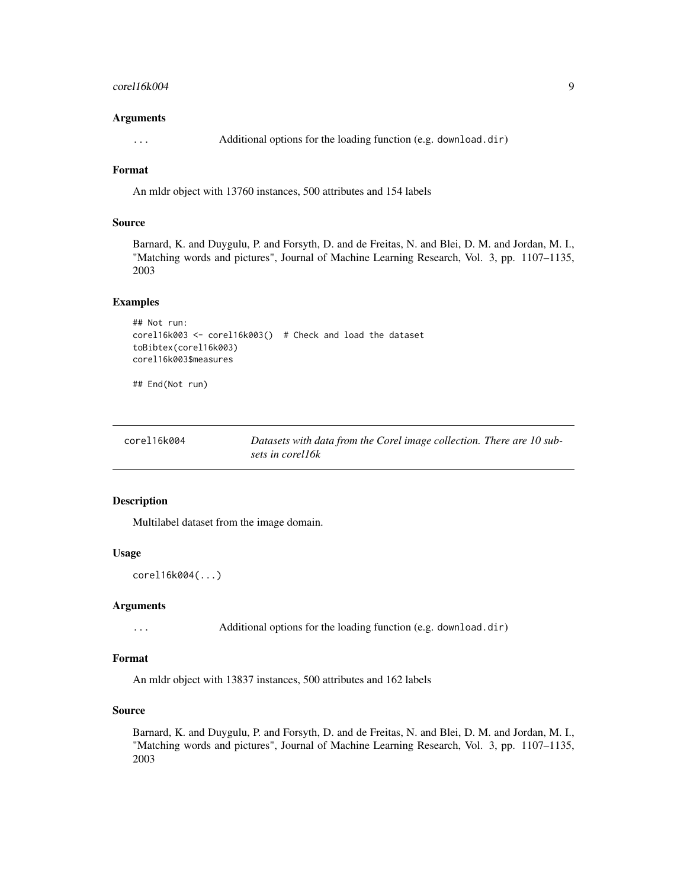#### <span id="page-8-0"></span> $\text{core116k004}$  9

#### Arguments

... Additional options for the loading function (e.g. download.dir)

### Format

An mldr object with 13760 instances, 500 attributes and 154 labels

### Source

Barnard, K. and Duygulu, P. and Forsyth, D. and de Freitas, N. and Blei, D. M. and Jordan, M. I., "Matching words and pictures", Journal of Machine Learning Research, Vol. 3, pp. 1107–1135, 2003

### Examples

```
## Not run:
corel16k003 <- corel16k003() # Check and load the dataset
toBibtex(corel16k003)
corel16k003$measures
```
## End(Not run)

| corel16k004 | Datasets with data from the Corel image collection. There are 10 sub- |
|-------------|-----------------------------------------------------------------------|
|             | sets in corel16k                                                      |

### Description

Multilabel dataset from the image domain.

### Usage

```
corel16k004(...)
```
#### Arguments

... Additional options for the loading function (e.g. download.dir)

#### Format

An mldr object with 13837 instances, 500 attributes and 162 labels

### Source

Barnard, K. and Duygulu, P. and Forsyth, D. and de Freitas, N. and Blei, D. M. and Jordan, M. I., "Matching words and pictures", Journal of Machine Learning Research, Vol. 3, pp. 1107–1135, 2003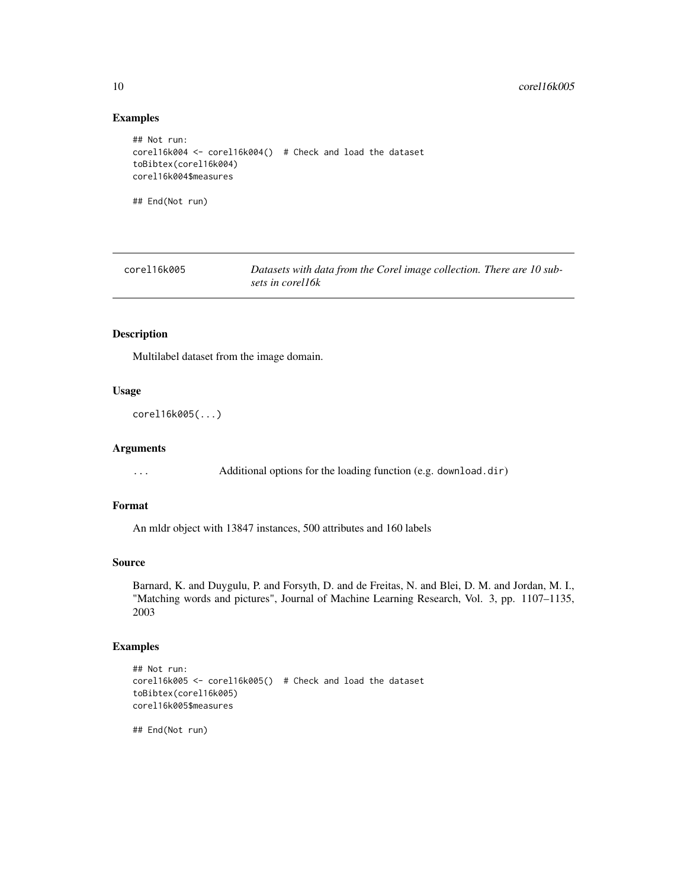### Examples

```
## Not run:
corel16k004 <- corel16k004() # Check and load the dataset
toBibtex(corel16k004)
corel16k004$measures
## End(Not run)
```
corel16k005 *Datasets with data from the Corel image collection. There are 10 subsets in corel16k*

#### Description

Multilabel dataset from the image domain.

#### Usage

corel16k005(...)

#### Arguments

... Additional options for the loading function (e.g. download.dir)

### Format

An mldr object with 13847 instances, 500 attributes and 160 labels

### Source

Barnard, K. and Duygulu, P. and Forsyth, D. and de Freitas, N. and Blei, D. M. and Jordan, M. I., "Matching words and pictures", Journal of Machine Learning Research, Vol. 3, pp. 1107–1135, 2003

### Examples

```
## Not run:
corel16k005 <- corel16k005() # Check and load the dataset
toBibtex(corel16k005)
corel16k005$measures
```
<span id="page-9-0"></span>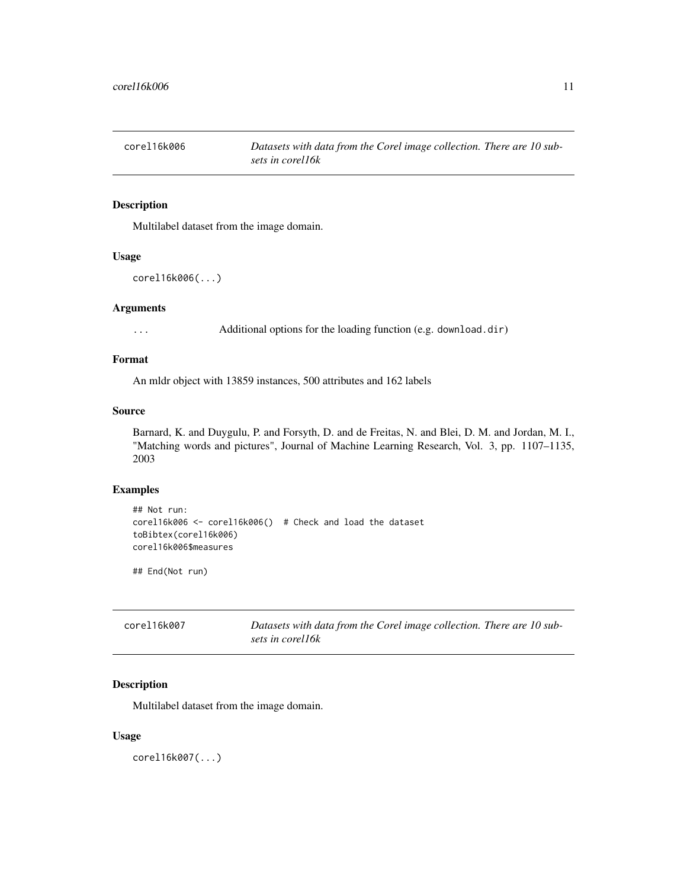<span id="page-10-0"></span>

Multilabel dataset from the image domain.

#### Usage

```
corel16k006(...)
```
### Arguments

... Additional options for the loading function (e.g. download.dir)

### Format

An mldr object with 13859 instances, 500 attributes and 162 labels

#### Source

Barnard, K. and Duygulu, P. and Forsyth, D. and de Freitas, N. and Blei, D. M. and Jordan, M. I., "Matching words and pictures", Journal of Machine Learning Research, Vol. 3, pp. 1107–1135, 2003

### Examples

```
## Not run:
corel16k006 <- corel16k006() # Check and load the dataset
toBibtex(corel16k006)
corel16k006$measures
```
## End(Not run)

| corel16k007 | Datasets with data from the Corel image collection. There are 10 sub- |  |
|-------------|-----------------------------------------------------------------------|--|
|             | sets in corel16k                                                      |  |

### Description

Multilabel dataset from the image domain.

#### Usage

corel16k007(...)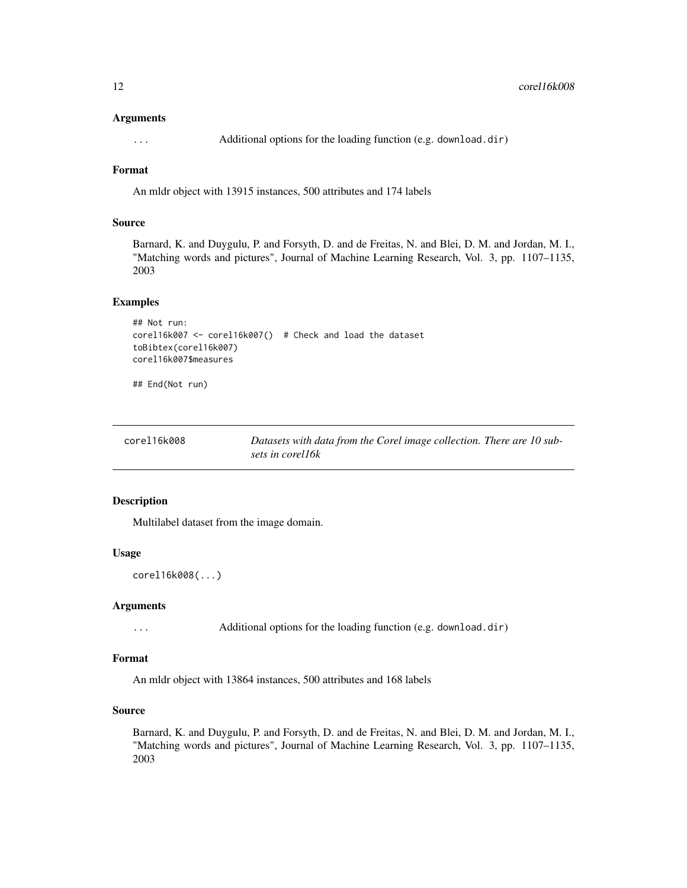#### <span id="page-11-0"></span>Arguments

... Additional options for the loading function (e.g. download.dir)

### Format

An mldr object with 13915 instances, 500 attributes and 174 labels

### Source

Barnard, K. and Duygulu, P. and Forsyth, D. and de Freitas, N. and Blei, D. M. and Jordan, M. I., "Matching words and pictures", Journal of Machine Learning Research, Vol. 3, pp. 1107–1135, 2003

### Examples

```
## Not run:
corel16k007 <- corel16k007() # Check and load the dataset
toBibtex(corel16k007)
corel16k007$measures
```
## End(Not run)

| corel16k008 | Datasets with data from the Corel image collection. There are 10 sub- |  |
|-------------|-----------------------------------------------------------------------|--|
|             | sets in corel16k                                                      |  |

### Description

Multilabel dataset from the image domain.

#### Usage

```
corel16k008(...)
```
### Arguments

... Additional options for the loading function (e.g. download.dir)

### Format

An mldr object with 13864 instances, 500 attributes and 168 labels

### Source

Barnard, K. and Duygulu, P. and Forsyth, D. and de Freitas, N. and Blei, D. M. and Jordan, M. I., "Matching words and pictures", Journal of Machine Learning Research, Vol. 3, pp. 1107–1135, 2003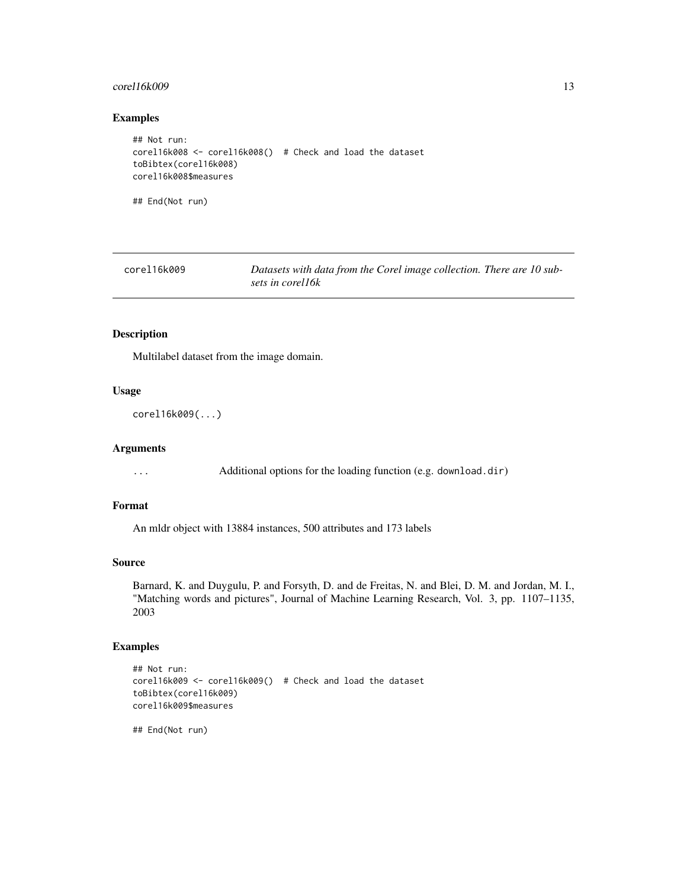### <span id="page-12-0"></span> $core116k009$  13

### Examples

```
## Not run:
corel16k008 <- corel16k008() # Check and load the dataset
toBibtex(corel16k008)
corel16k008$measures
```
## End(Not run)

| corel16k009 | Datasets with data from the Corel image collection. There are 10 sub- |
|-------------|-----------------------------------------------------------------------|
|             | sets in corel16k                                                      |

### Description

Multilabel dataset from the image domain.

#### Usage

```
corel16k009(...)
```
#### Arguments

... Additional options for the loading function (e.g. download.dir)

### Format

An mldr object with 13884 instances, 500 attributes and 173 labels

### Source

Barnard, K. and Duygulu, P. and Forsyth, D. and de Freitas, N. and Blei, D. M. and Jordan, M. I., "Matching words and pictures", Journal of Machine Learning Research, Vol. 3, pp. 1107–1135, 2003

### Examples

```
## Not run:
corel16k009 <- corel16k009() # Check and load the dataset
toBibtex(corel16k009)
corel16k009$measures
```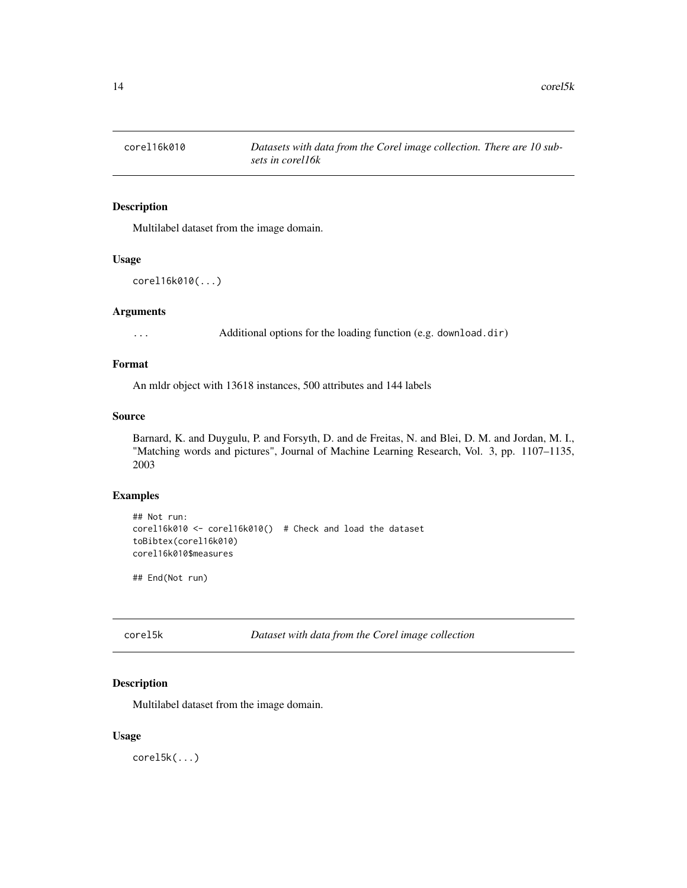<span id="page-13-0"></span>

Multilabel dataset from the image domain.

#### Usage

```
corel16k010(...)
```
### Arguments

... Additional options for the loading function (e.g. download.dir)

### Format

An mldr object with 13618 instances, 500 attributes and 144 labels

#### Source

Barnard, K. and Duygulu, P. and Forsyth, D. and de Freitas, N. and Blei, D. M. and Jordan, M. I., "Matching words and pictures", Journal of Machine Learning Research, Vol. 3, pp. 1107–1135, 2003

### Examples

```
## Not run:
corel16k010 <- corel16k010() # Check and load the dataset
toBibtex(corel16k010)
corel16k010$measures
```
## End(Not run)

corel5k *Dataset with data from the Corel image collection*

### Description

Multilabel dataset from the image domain.

### Usage

corel5k(...)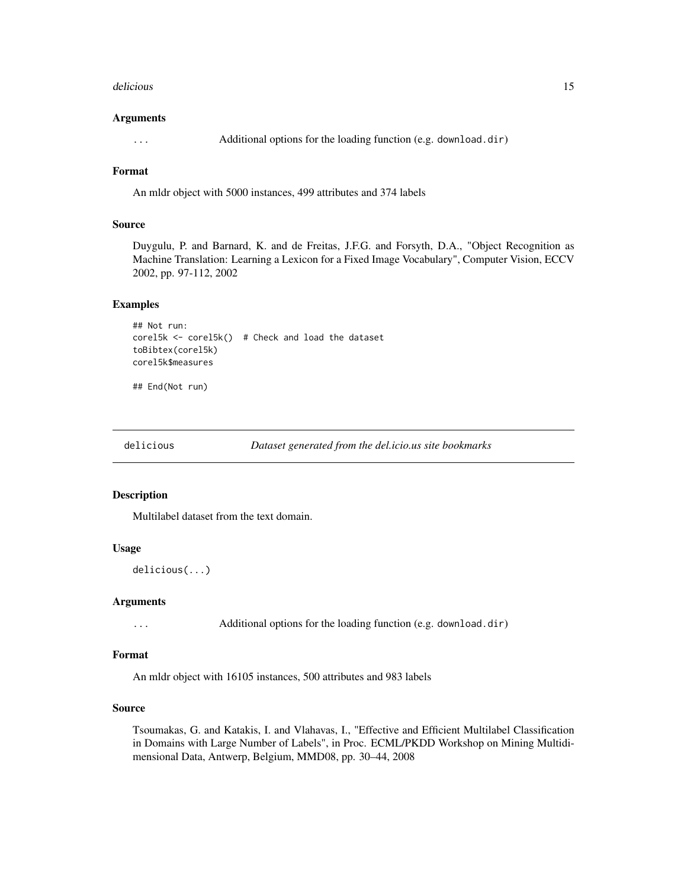#### <span id="page-14-0"></span>delicious and the contract of the contract of the contract of the contract of the contract of the contract of the contract of the contract of the contract of the contract of the contract of the contract of the contract of

#### Arguments

... Additional options for the loading function (e.g. download.dir)

### Format

An mldr object with 5000 instances, 499 attributes and 374 labels

#### Source

Duygulu, P. and Barnard, K. and de Freitas, J.F.G. and Forsyth, D.A., "Object Recognition as Machine Translation: Learning a Lexicon for a Fixed Image Vocabulary", Computer Vision, ECCV 2002, pp. 97-112, 2002

#### Examples

```
## Not run:
corel5k <- corel5k() # Check and load the dataset
toBibtex(corel5k)
corel5k$measures
```
## End(Not run)

delicious *Dataset generated from the del.icio.us site bookmarks*

#### Description

Multilabel dataset from the text domain.

### Usage

delicious(...)

#### Arguments

... Additional options for the loading function (e.g. download.dir)

### Format

An mldr object with 16105 instances, 500 attributes and 983 labels

### Source

Tsoumakas, G. and Katakis, I. and Vlahavas, I., "Effective and Efficient Multilabel Classification in Domains with Large Number of Labels", in Proc. ECML/PKDD Workshop on Mining Multidimensional Data, Antwerp, Belgium, MMD08, pp. 30–44, 2008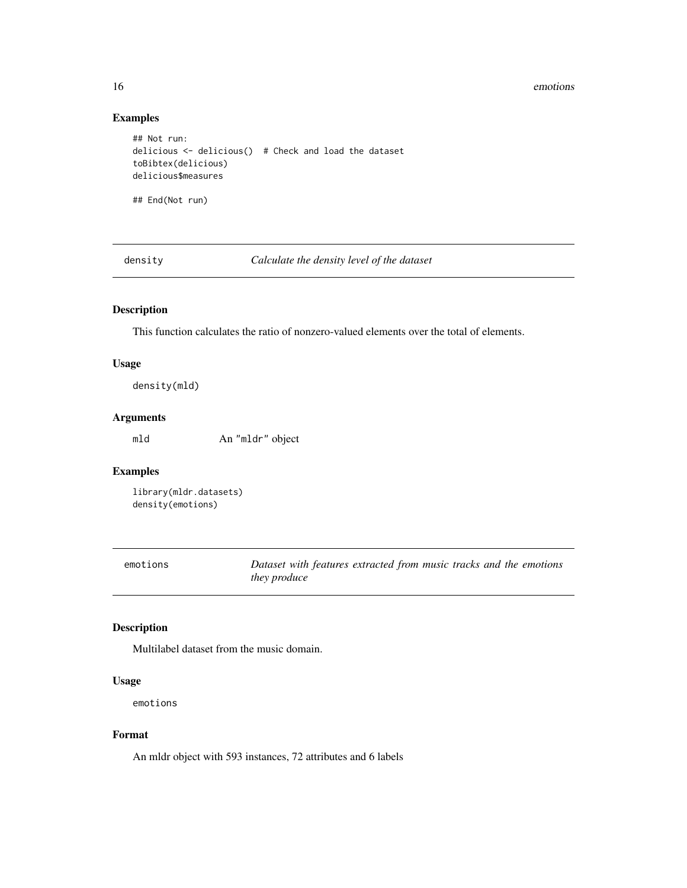<span id="page-15-0"></span>16 emotions and the contract of the contract of the contract of the contract of the contract of the contract of the contract of the contract of the contract of the contract of the contract of the contract of the contract o

## Examples

```
## Not run:
delicious <- delicious() # Check and load the dataset
toBibtex(delicious)
delicious$measures
## End(Not run)
```
density *Calculate the density level of the dataset*

### Description

This function calculates the ratio of nonzero-valued elements over the total of elements.

### Usage

density(mld)

### Arguments

mld An "mldr" object

### Examples

library(mldr.datasets) density(emotions)

| emotions | Dataset with features extracted from music tracks and the emotions |
|----------|--------------------------------------------------------------------|
|          | <i>they produce</i>                                                |

### Description

Multilabel dataset from the music domain.

#### Usage

emotions

### Format

An mldr object with 593 instances, 72 attributes and 6 labels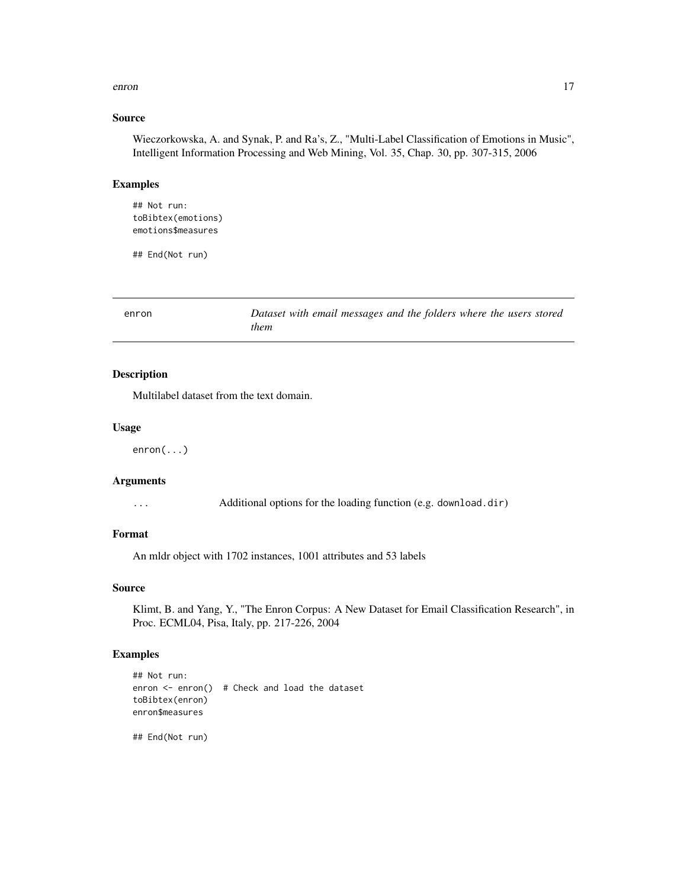#### <span id="page-16-0"></span>enron and the contract of the contract of the contract of the contract of the contract of the contract of the contract of the contract of the contract of the contract of the contract of the contract of the contract of the

### Source

Wieczorkowska, A. and Synak, P. and Ra's, Z., "Multi-Label Classification of Emotions in Music", Intelligent Information Processing and Web Mining, Vol. 35, Chap. 30, pp. 307-315, 2006

### Examples

## Not run: toBibtex(emotions) emotions\$measures

## End(Not run)

enron *Dataset with email messages and the folders where the users stored them*

### Description

Multilabel dataset from the text domain.

#### Usage

enron(...)

### Arguments

... Additional options for the loading function (e.g. download.dir)

#### Format

An mldr object with 1702 instances, 1001 attributes and 53 labels

### Source

Klimt, B. and Yang, Y., "The Enron Corpus: A New Dataset for Email Classification Research", in Proc. ECML04, Pisa, Italy, pp. 217-226, 2004

### Examples

```
## Not run:
enron <- enron() # Check and load the dataset
toBibtex(enron)
enron$measures
```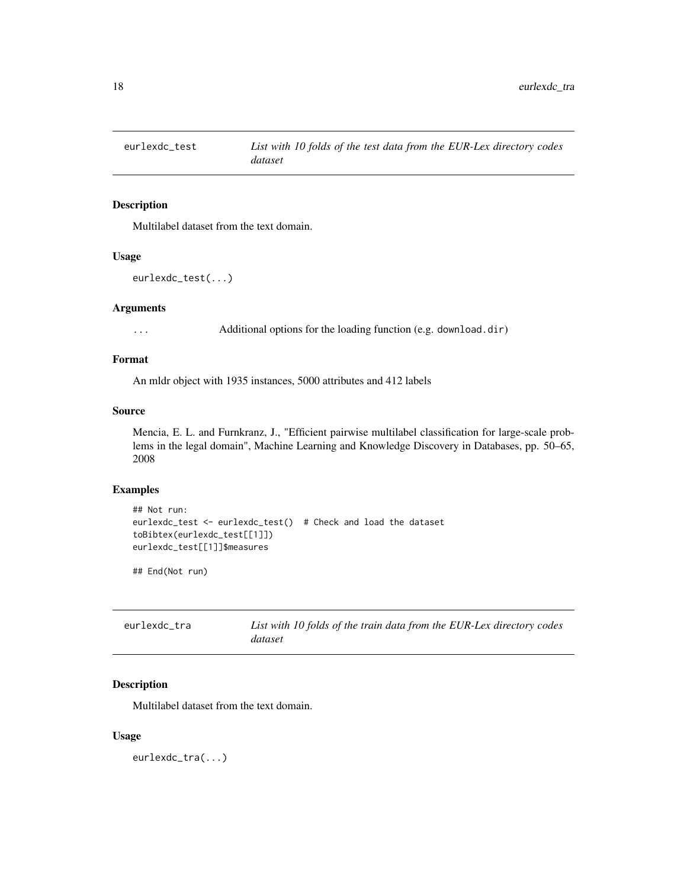<span id="page-17-0"></span>

Multilabel dataset from the text domain.

#### Usage

```
eurlexdc_test(...)
```
### Arguments

... Additional options for the loading function (e.g. download.dir)

### Format

An mldr object with 1935 instances, 5000 attributes and 412 labels

#### Source

Mencia, E. L. and Furnkranz, J., "Efficient pairwise multilabel classification for large-scale problems in the legal domain", Machine Learning and Knowledge Discovery in Databases, pp. 50–65, 2008

### Examples

```
## Not run:
eurlexdc_test <- eurlexdc_test() # Check and load the dataset
toBibtex(eurlexdc_test[[1]])
eurlexdc_test[[1]]$measures
```
## End(Not run)

| eurlexdc_tra | List with 10 folds of the train data from the EUR-Lex directory codes |
|--------------|-----------------------------------------------------------------------|
|              | dataset                                                               |

### Description

Multilabel dataset from the text domain.

#### Usage

eurlexdc\_tra(...)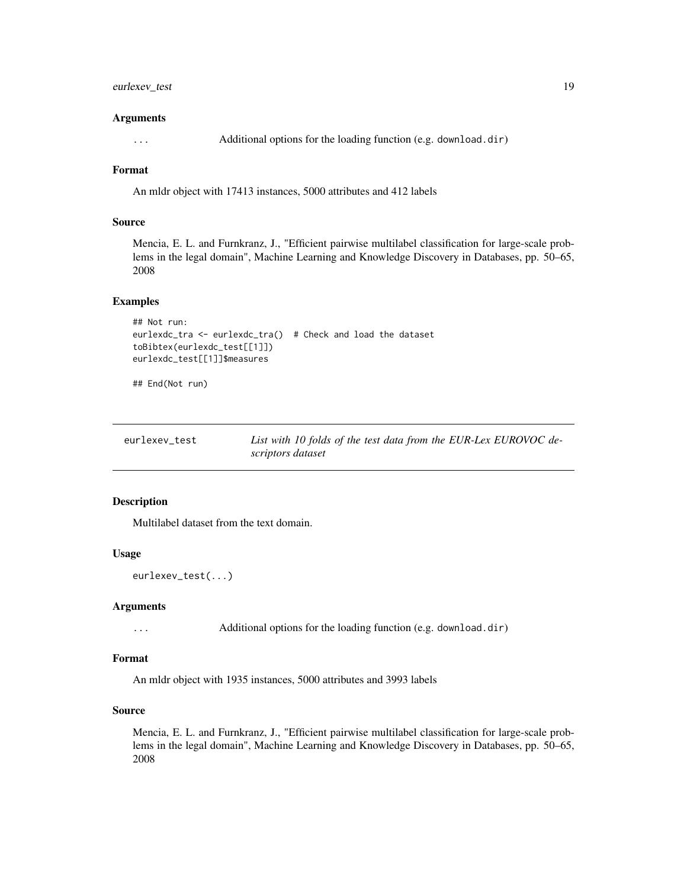### <span id="page-18-0"></span>eurlexev\_test 19

#### Arguments

... Additional options for the loading function (e.g. download.dir)

### Format

An mldr object with 17413 instances, 5000 attributes and 412 labels

### Source

Mencia, E. L. and Furnkranz, J., "Efficient pairwise multilabel classification for large-scale problems in the legal domain", Machine Learning and Knowledge Discovery in Databases, pp. 50–65, 2008

### Examples

```
## Not run:
eurlexdc_tra <- eurlexdc_tra() # Check and load the dataset
toBibtex(eurlexdc_test[[1]])
eurlexdc_test[[1]]$measures
```
## End(Not run)

| eurlexev test | List with 10 folds of the test data from the EUR-Lex EUROVOC de- |
|---------------|------------------------------------------------------------------|
|               | scriptors dataset                                                |

### Description

Multilabel dataset from the text domain.

### Usage

```
eurlexev_test(...)
```
#### Arguments

... Additional options for the loading function (e.g. download.dir)

#### Format

An mldr object with 1935 instances, 5000 attributes and 3993 labels

### Source

Mencia, E. L. and Furnkranz, J., "Efficient pairwise multilabel classification for large-scale problems in the legal domain", Machine Learning and Knowledge Discovery in Databases, pp. 50–65, 2008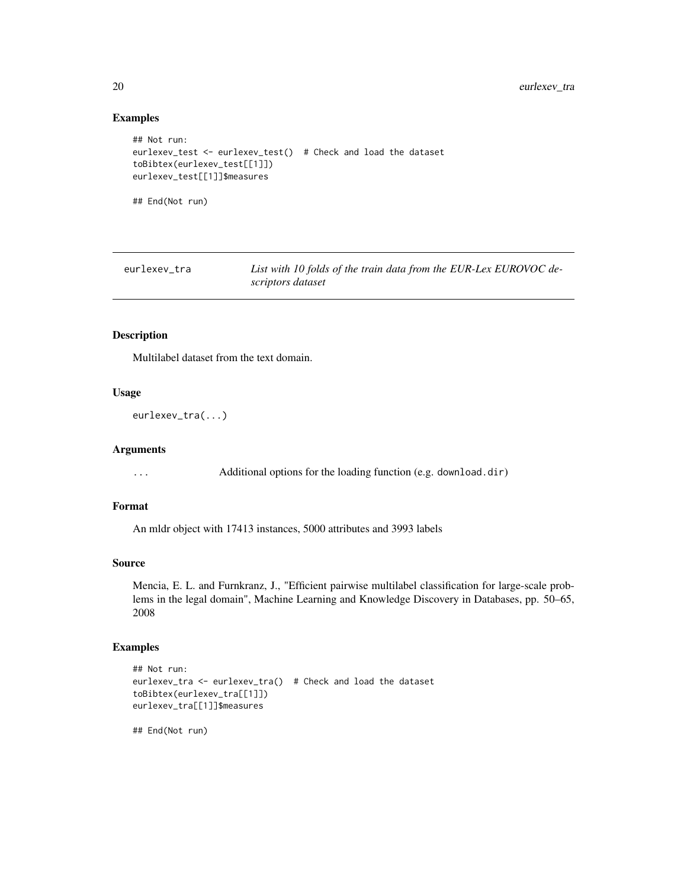### Examples

```
## Not run:
eurlexev_test <- eurlexev_test() # Check and load the dataset
toBibtex(eurlexev_test[[1]])
eurlexev_test[[1]]$measures
## End(Not run)
```

| eurlexev tra | List with 10 folds of the train data from the EUR-Lex EUROVOC de- |
|--------------|-------------------------------------------------------------------|
|              | scriptors dataset                                                 |

### Description

Multilabel dataset from the text domain.

#### Usage

```
eurlexev_tra(...)
```
### Arguments

... Additional options for the loading function (e.g. download.dir)

### Format

An mldr object with 17413 instances, 5000 attributes and 3993 labels

### Source

Mencia, E. L. and Furnkranz, J., "Efficient pairwise multilabel classification for large-scale problems in the legal domain", Machine Learning and Knowledge Discovery in Databases, pp. 50–65, 2008

### Examples

```
## Not run:
eurlexev_tra <- eurlexev_tra() # Check and load the dataset
toBibtex(eurlexev_tra[[1]])
eurlexev_tra[[1]]$measures
```
<span id="page-19-0"></span>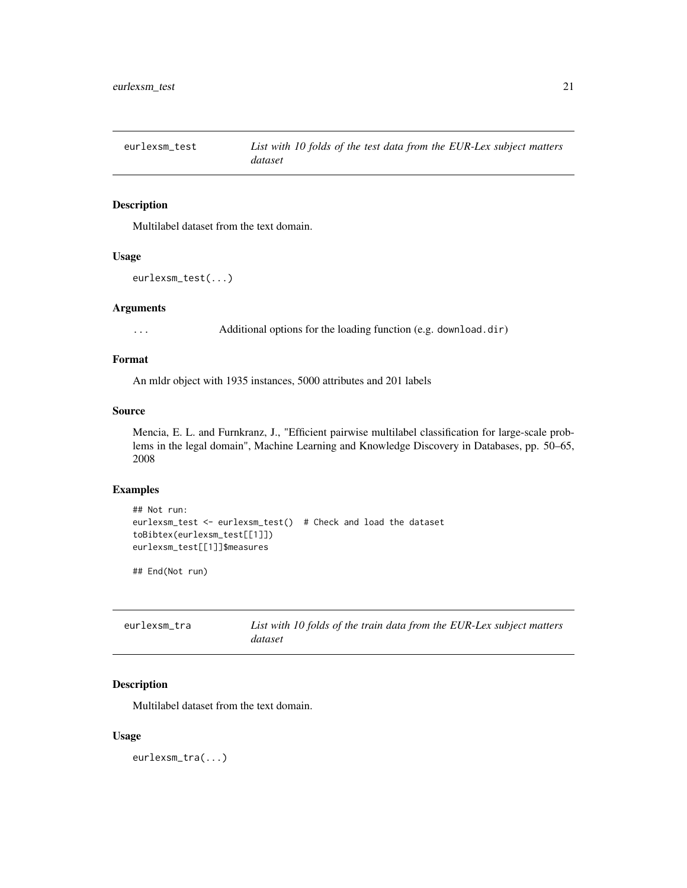<span id="page-20-0"></span>

Multilabel dataset from the text domain.

#### Usage

```
eurlexsm_test(...)
```
### Arguments

... Additional options for the loading function (e.g. download.dir)

### Format

An mldr object with 1935 instances, 5000 attributes and 201 labels

#### Source

Mencia, E. L. and Furnkranz, J., "Efficient pairwise multilabel classification for large-scale problems in the legal domain", Machine Learning and Knowledge Discovery in Databases, pp. 50–65, 2008

### Examples

```
## Not run:
eurlexsm_test <- eurlexsm_test() # Check and load the dataset
toBibtex(eurlexsm_test[[1]])
eurlexsm_test[[1]]$measures
```
## End(Not run)

| eurlexsm_tra | List with 10 folds of the train data from the EUR-Lex subject matters |
|--------------|-----------------------------------------------------------------------|
|              | dataset                                                               |

### Description

Multilabel dataset from the text domain.

#### Usage

eurlexsm\_tra(...)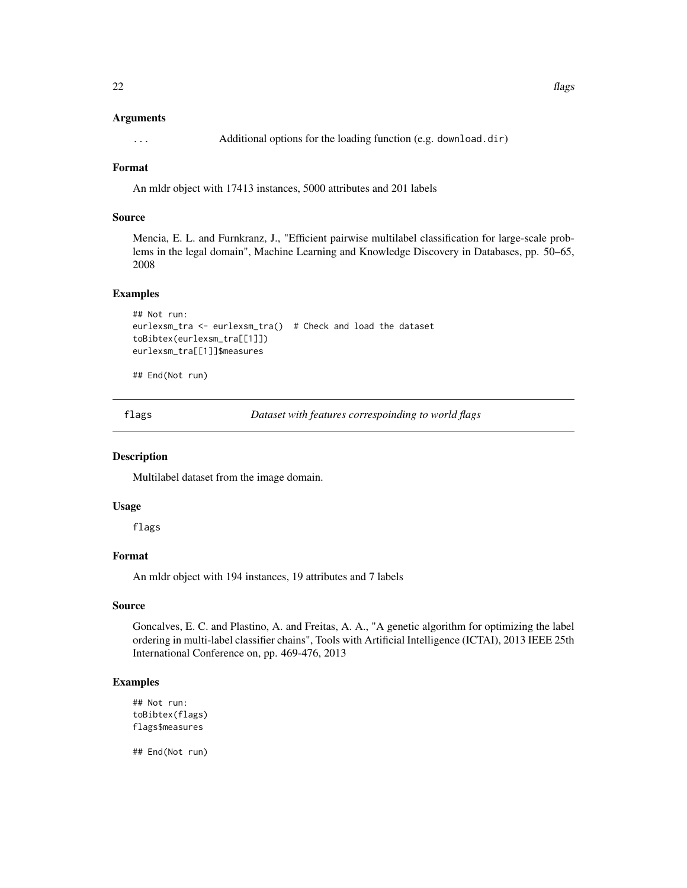### <span id="page-21-0"></span>Arguments

... Additional options for the loading function (e.g. download.dir)

### Format

An mldr object with 17413 instances, 5000 attributes and 201 labels

### Source

Mencia, E. L. and Furnkranz, J., "Efficient pairwise multilabel classification for large-scale problems in the legal domain", Machine Learning and Knowledge Discovery in Databases, pp. 50–65, 2008

#### Examples

```
## Not run:
eurlexsm_tra <- eurlexsm_tra() # Check and load the dataset
toBibtex(eurlexsm_tra[[1]])
eurlexsm_tra[[1]]$measures
```
## End(Not run)

flags *Dataset with features correspoinding to world flags*

### Description

Multilabel dataset from the image domain.

### Usage

flags

### Format

An mldr object with 194 instances, 19 attributes and 7 labels

#### Source

Goncalves, E. C. and Plastino, A. and Freitas, A. A., "A genetic algorithm for optimizing the label ordering in multi-label classifier chains", Tools with Artificial Intelligence (ICTAI), 2013 IEEE 25th International Conference on, pp. 469-476, 2013

### Examples

```
## Not run:
toBibtex(flags)
flags$measures
```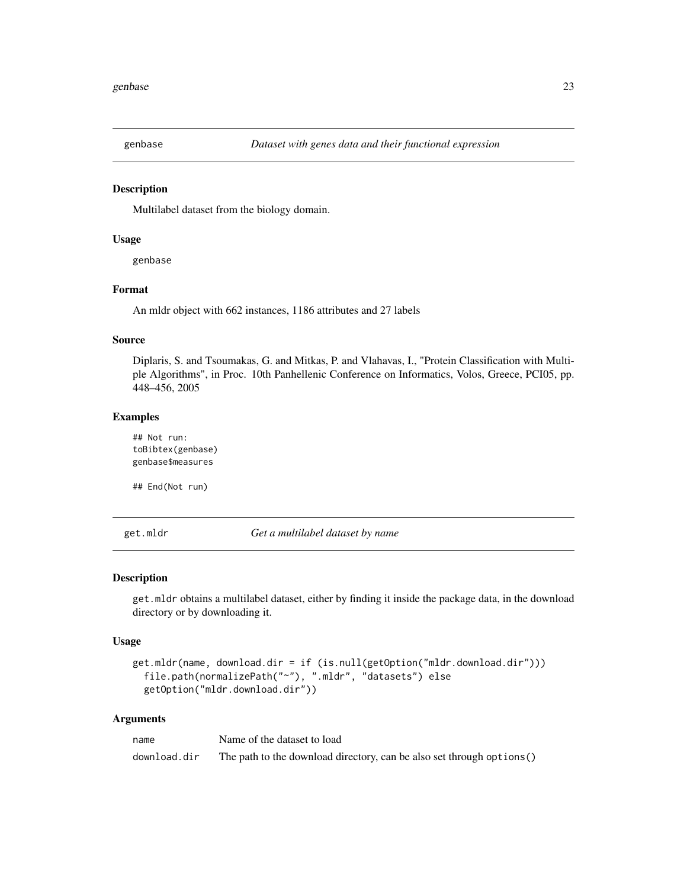<span id="page-22-0"></span>

Multilabel dataset from the biology domain.

#### Usage

genbase

### Format

An mldr object with 662 instances, 1186 attributes and 27 labels

### Source

Diplaris, S. and Tsoumakas, G. and Mitkas, P. and Vlahavas, I., "Protein Classification with Multiple Algorithms", in Proc. 10th Panhellenic Conference on Informatics, Volos, Greece, PCI05, pp. 448–456, 2005

#### Examples

## Not run: toBibtex(genbase) genbase\$measures

## End(Not run)

get.mldr *Get a multilabel dataset by name*

#### Description

get.mldr obtains a multilabel dataset, either by finding it inside the package data, in the download directory or by downloading it.

#### Usage

```
get.mldr(name, download.dir = if (is.null(getOption("mldr.download.dir")))
  file.path(normalizePath("~"), ".mldr", "datasets") else
 getOption("mldr.download.dir"))
```
#### Arguments

| name         | Name of the dataset to load                                            |
|--------------|------------------------------------------------------------------------|
| download.dir | The path to the download directory, can be also set through options () |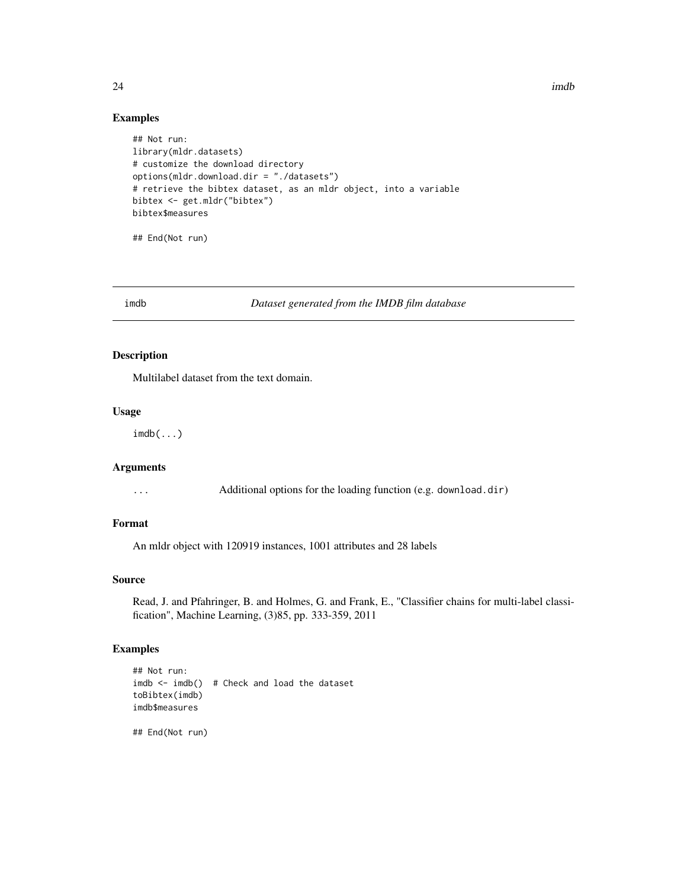$24$  imdb

#### Examples

```
## Not run:
library(mldr.datasets)
# customize the download directory
options(mldr.download.dir = "./datasets")
# retrieve the bibtex dataset, as an mldr object, into a variable
bibtex <- get.mldr("bibtex")
bibtex$measures
```
## End(Not run)

imdb *Dataset generated from the IMDB film database*

### Description

Multilabel dataset from the text domain.

#### Usage

 $imdb(...)$ 

### Arguments

... Additional options for the loading function (e.g. download.dir)

### Format

An mldr object with 120919 instances, 1001 attributes and 28 labels

#### Source

Read, J. and Pfahringer, B. and Holmes, G. and Frank, E., "Classifier chains for multi-label classification", Machine Learning, (3)85, pp. 333-359, 2011

### Examples

```
## Not run:
imdb < -imdb() # Check and load the dataset
toBibtex(imdb)
imdb$measures
```
<span id="page-23-0"></span>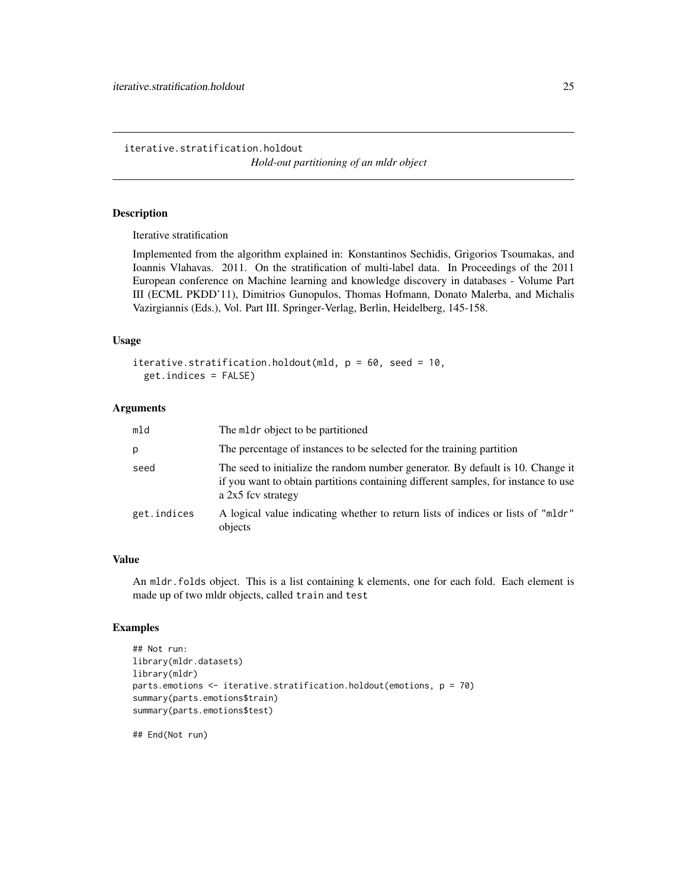<span id="page-24-0"></span>iterative.stratification.holdout

*Hold-out partitioning of an mldr object*

#### Description

Iterative stratification

Implemented from the algorithm explained in: Konstantinos Sechidis, Grigorios Tsoumakas, and Ioannis Vlahavas. 2011. On the stratification of multi-label data. In Proceedings of the 2011 European conference on Machine learning and knowledge discovery in databases - Volume Part III (ECML PKDD'11), Dimitrios Gunopulos, Thomas Hofmann, Donato Malerba, and Michalis Vazirgiannis (Eds.), Vol. Part III. Springer-Verlag, Berlin, Heidelberg, 145-158.

#### Usage

```
iterative.stratification.holdout(mld, p = 60, seed = 10,
 get.indices = FALSE)
```
#### Arguments

| mld         | The meter object to be partitioned                                                                                                                                                          |
|-------------|---------------------------------------------------------------------------------------------------------------------------------------------------------------------------------------------|
| р           | The percentage of instances to be selected for the training partition                                                                                                                       |
| seed        | The seed to initialize the random number generator. By default is 10. Change it<br>if you want to obtain partitions containing different samples, for instance to use<br>a 2x5 fcv strategy |
| get.indices | A logical value indicating whether to return lists of indices or lists of "mldr"<br>objects                                                                                                 |

#### Value

An mldr.folds object. This is a list containing k elements, one for each fold. Each element is made up of two mldr objects, called train and test

### Examples

```
## Not run:
library(mldr.datasets)
library(mldr)
parts.emotions <- iterative.stratification.holdout(emotions, p = 70)
summary(parts.emotions$train)
summary(parts.emotions$test)
```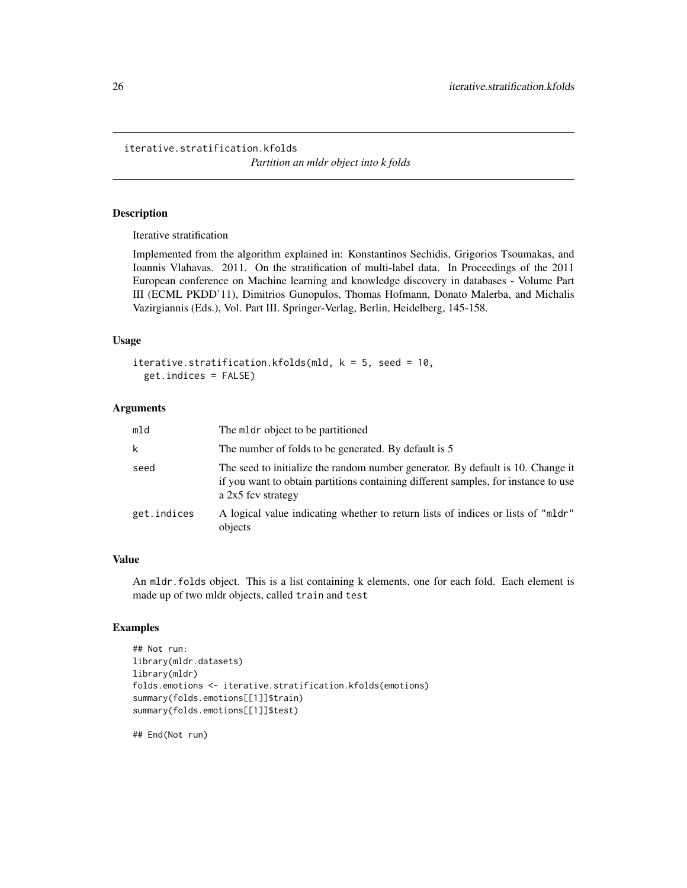<span id="page-25-0"></span>iterative.stratification.kfolds

*Partition an mldr object into k folds*

#### Description

Iterative stratification

Implemented from the algorithm explained in: Konstantinos Sechidis, Grigorios Tsoumakas, and Ioannis Vlahavas. 2011. On the stratification of multi-label data. In Proceedings of the 2011 European conference on Machine learning and knowledge discovery in databases - Volume Part III (ECML PKDD'11), Dimitrios Gunopulos, Thomas Hofmann, Donato Malerba, and Michalis Vazirgiannis (Eds.), Vol. Part III. Springer-Verlag, Berlin, Heidelberg, 145-158.

#### Usage

```
iterative.stratification.kfolds(mld, k = 5, seed = 10,
 get.indices = FALSE)
```
#### Arguments

| mld         | The meter object to be partitioned                                                                                                                                                          |
|-------------|---------------------------------------------------------------------------------------------------------------------------------------------------------------------------------------------|
| k           | The number of folds to be generated. By default is 5                                                                                                                                        |
| seed        | The seed to initialize the random number generator. By default is 10. Change it<br>if you want to obtain partitions containing different samples, for instance to use<br>a 2x5 fcv strategy |
| get.indices | A logical value indicating whether to return lists of indices or lists of "mldr"<br>objects                                                                                                 |

#### Value

An mldr.folds object. This is a list containing k elements, one for each fold. Each element is made up of two mldr objects, called train and test

### Examples

```
## Not run:
library(mldr.datasets)
library(mldr)
folds.emotions <- iterative.stratification.kfolds(emotions)
summary(folds.emotions[[1]]$train)
summary(folds.emotions[[1]]$test)
```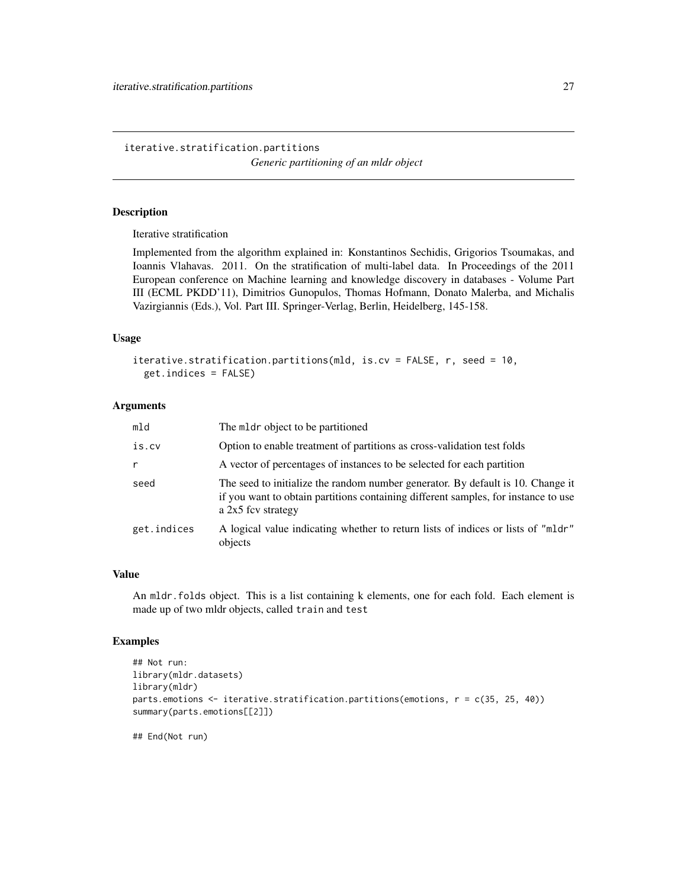<span id="page-26-0"></span>iterative.stratification.partitions *Generic partitioning of an mldr object*

#### Description

Iterative stratification

Implemented from the algorithm explained in: Konstantinos Sechidis, Grigorios Tsoumakas, and Ioannis Vlahavas. 2011. On the stratification of multi-label data. In Proceedings of the 2011 European conference on Machine learning and knowledge discovery in databases - Volume Part III (ECML PKDD'11), Dimitrios Gunopulos, Thomas Hofmann, Donato Malerba, and Michalis Vazirgiannis (Eds.), Vol. Part III. Springer-Verlag, Berlin, Heidelberg, 145-158.

### Usage

```
iterative.stratification.partitions(mld, is.cv = FALSE, r, seed = 10,
  get.indices = FALSE)
```
#### Arguments

| mld         | The mldr object to be partitioned                                                                                                                                                             |
|-------------|-----------------------------------------------------------------------------------------------------------------------------------------------------------------------------------------------|
| is.cv       | Option to enable treatment of partitions as cross-validation test folds                                                                                                                       |
| r           | A vector of percentages of instances to be selected for each partition                                                                                                                        |
| seed        | The seed to initialize the random number generator. By default is 10. Change it<br>if you want to obtain partitions containing different samples, for instance to use<br>a $2x5$ fcv strategy |
| get.indices | A logical value indicating whether to return lists of indices or lists of "mldr"<br>objects                                                                                                   |

#### Value

An mldr.folds object. This is a list containing k elements, one for each fold. Each element is made up of two mldr objects, called train and test

### Examples

```
## Not run:
library(mldr.datasets)
library(mldr)
parts.emotions <- iterative.stratification.partitions(emotions, r = c(35, 25, 40))
summary(parts.emotions[[2]])
```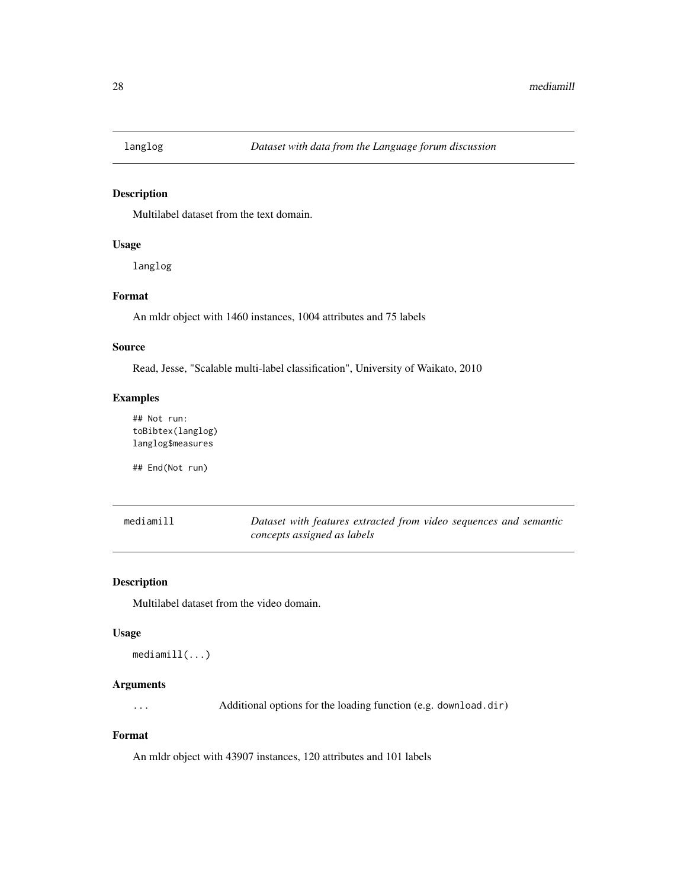<span id="page-27-0"></span>

Multilabel dataset from the text domain.

### Usage

langlog

### Format

An mldr object with 1460 instances, 1004 attributes and 75 labels

### Source

Read, Jesse, "Scalable multi-label classification", University of Waikato, 2010

### Examples

## Not run: toBibtex(langlog) langlog\$measures

## End(Not run)

| mediamill | Dataset with features extracted from video sequences and semantic |  |  |  |  |
|-----------|-------------------------------------------------------------------|--|--|--|--|
|           | concepts assigned as labels                                       |  |  |  |  |

### Description

Multilabel dataset from the video domain.

#### Usage

```
mediamill(...)
```
### Arguments

... Additional options for the loading function (e.g. download.dir)

### Format

An mldr object with 43907 instances, 120 attributes and 101 labels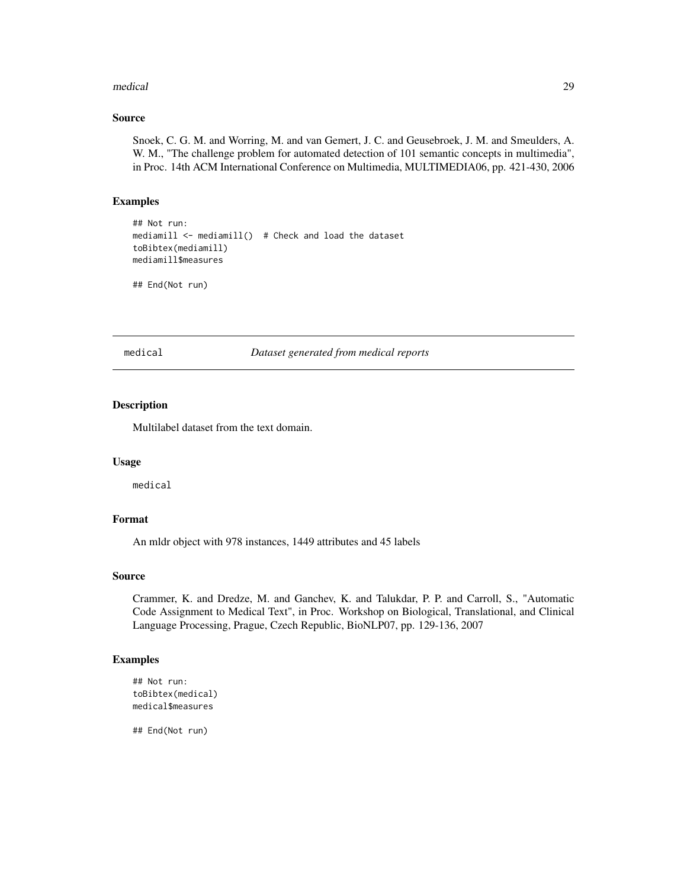#### <span id="page-28-0"></span>medical 29

#### Source

Snoek, C. G. M. and Worring, M. and van Gemert, J. C. and Geusebroek, J. M. and Smeulders, A. W. M., "The challenge problem for automated detection of 101 semantic concepts in multimedia", in Proc. 14th ACM International Conference on Multimedia, MULTIMEDIA06, pp. 421-430, 2006

#### Examples

```
## Not run:
mediamill <- mediamill() # Check and load the dataset
toBibtex(mediamill)
mediamill$measures
```

```
## End(Not run)
```
medical *Dataset generated from medical reports*

### Description

Multilabel dataset from the text domain.

### Usage

medical

### Format

An mldr object with 978 instances, 1449 attributes and 45 labels

### Source

Crammer, K. and Dredze, M. and Ganchev, K. and Talukdar, P. P. and Carroll, S., "Automatic Code Assignment to Medical Text", in Proc. Workshop on Biological, Translational, and Clinical Language Processing, Prague, Czech Republic, BioNLP07, pp. 129-136, 2007

### Examples

```
## Not run:
toBibtex(medical)
medical$measures
```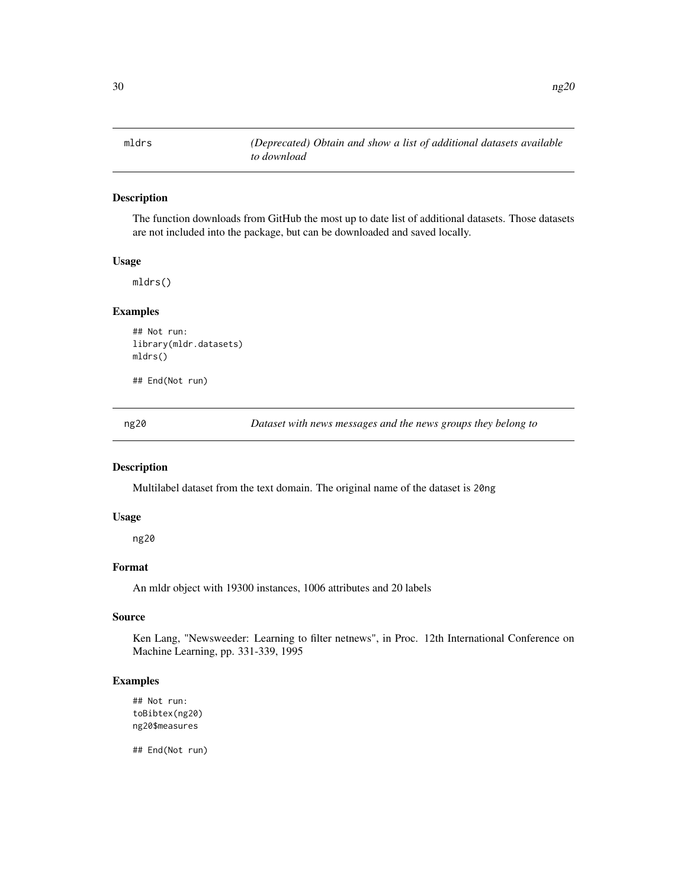<span id="page-29-0"></span>The function downloads from GitHub the most up to date list of additional datasets. Those datasets are not included into the package, but can be downloaded and saved locally.

#### Usage

mldrs()

### Examples

```
## Not run:
library(mldr.datasets)
mldrs()
```
## End(Not run)

ng20 *Dataset with news messages and the news groups they belong to*

#### Description

Multilabel dataset from the text domain. The original name of the dataset is 20ng

#### Usage

ng20

### Format

An mldr object with 19300 instances, 1006 attributes and 20 labels

### Source

Ken Lang, "Newsweeder: Learning to filter netnews", in Proc. 12th International Conference on Machine Learning, pp. 331-339, 1995

#### Examples

```
## Not run:
toBibtex(ng20)
ng20$measures
```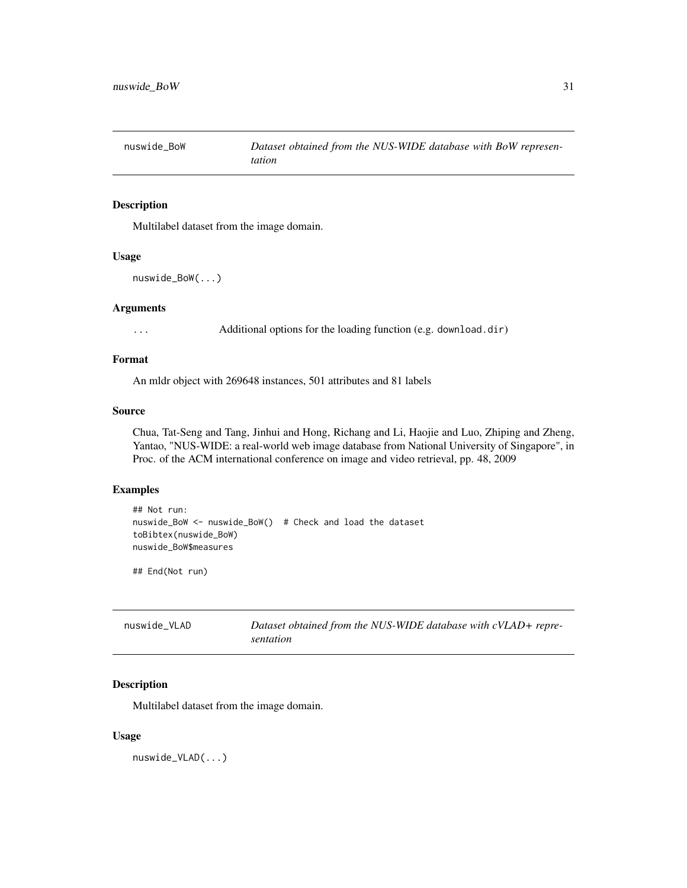<span id="page-30-0"></span>

Multilabel dataset from the image domain.

#### Usage

```
nuswide_BoW(...)
```
### Arguments

... Additional options for the loading function (e.g. download.dir)

### Format

An mldr object with 269648 instances, 501 attributes and 81 labels

#### Source

Chua, Tat-Seng and Tang, Jinhui and Hong, Richang and Li, Haojie and Luo, Zhiping and Zheng, Yantao, "NUS-WIDE: a real-world web image database from National University of Singapore", in Proc. of the ACM international conference on image and video retrieval, pp. 48, 2009

#### Examples

```
## Not run:
nuswide_BoW <- nuswide_BoW() # Check and load the dataset
toBibtex(nuswide_BoW)
nuswide_BoW$measures
```
## End(Not run)

| nuswide VLAD | Dataset obtained from the NUS-WIDE database with cVLAD+ repre- |
|--------------|----------------------------------------------------------------|
|              | sentation                                                      |

### Description

Multilabel dataset from the image domain.

#### Usage

nuswide\_VLAD(...)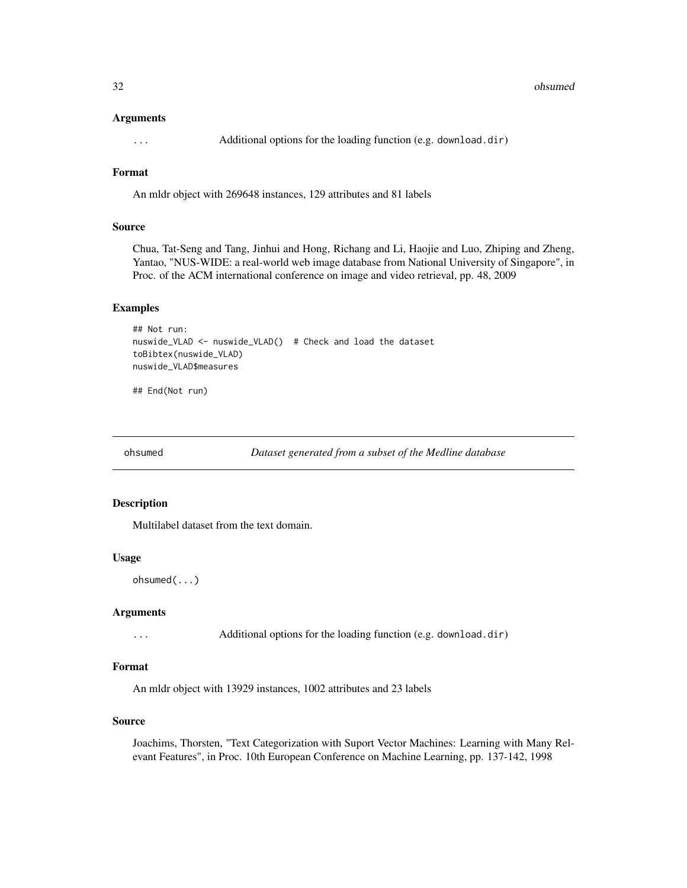#### <span id="page-31-0"></span>32 ohsumed

#### Arguments

... Additional options for the loading function (e.g. download.dir)

### Format

An mldr object with 269648 instances, 129 attributes and 81 labels

#### Source

Chua, Tat-Seng and Tang, Jinhui and Hong, Richang and Li, Haojie and Luo, Zhiping and Zheng, Yantao, "NUS-WIDE: a real-world web image database from National University of Singapore", in Proc. of the ACM international conference on image and video retrieval, pp. 48, 2009

### Examples

```
## Not run:
nuswide_VLAD <- nuswide_VLAD() # Check and load the dataset
toBibtex(nuswide_VLAD)
nuswide_VLAD$measures
```
## End(Not run)

ohsumed *Dataset generated from a subset of the Medline database*

#### Description

Multilabel dataset from the text domain.

#### Usage

ohsumed(...)

#### Arguments

... Additional options for the loading function (e.g. download.dir)

### Format

An mldr object with 13929 instances, 1002 attributes and 23 labels

#### Source

Joachims, Thorsten, "Text Categorization with Suport Vector Machines: Learning with Many Relevant Features", in Proc. 10th European Conference on Machine Learning, pp. 137-142, 1998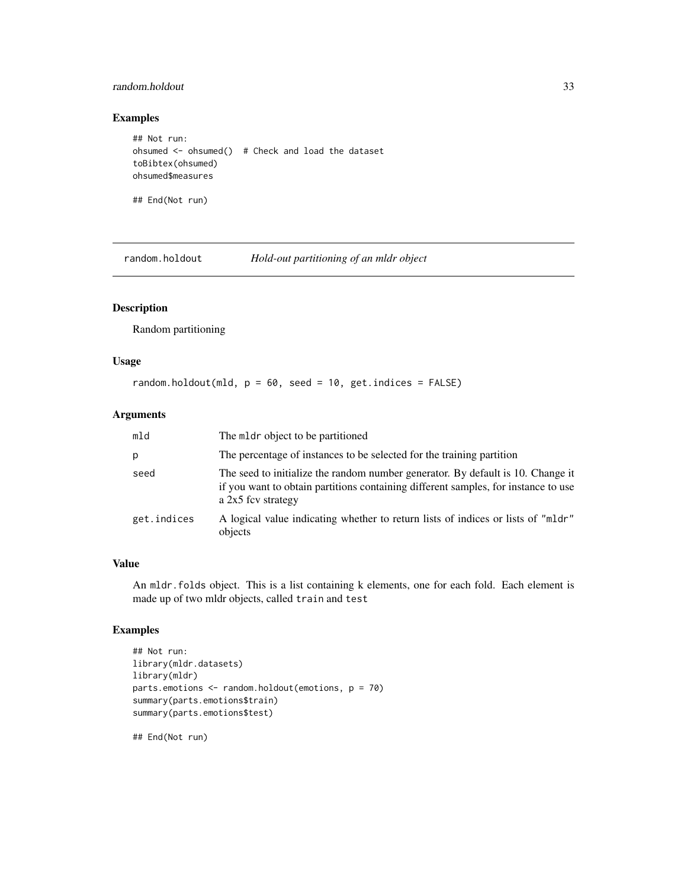### <span id="page-32-0"></span>random.holdout 33

### Examples

```
## Not run:
ohsumed \leq ohsumed() # Check and load the dataset
toBibtex(ohsumed)
ohsumed$measures
```
## End(Not run)

random.holdout *Hold-out partitioning of an mldr object*

### Description

Random partitioning

#### Usage

random.holdout(mld,  $p = 60$ , seed = 10, get.indices = FALSE)

### Arguments

| mld         | The mldr object to be partitioned                                                                                                                                                           |
|-------------|---------------------------------------------------------------------------------------------------------------------------------------------------------------------------------------------|
| p           | The percentage of instances to be selected for the training partition                                                                                                                       |
| seed        | The seed to initialize the random number generator. By default is 10. Change it<br>if you want to obtain partitions containing different samples, for instance to use<br>a 2x5 fcv strategy |
| get.indices | A logical value indicating whether to return lists of indices or lists of "mldr"<br>objects                                                                                                 |

### Value

An mldr.folds object. This is a list containing k elements, one for each fold. Each element is made up of two mldr objects, called train and test

### Examples

```
## Not run:
library(mldr.datasets)
library(mldr)
parts.emotions <- random.holdout(emotions, p = 70)
summary(parts.emotions$train)
summary(parts.emotions$test)
```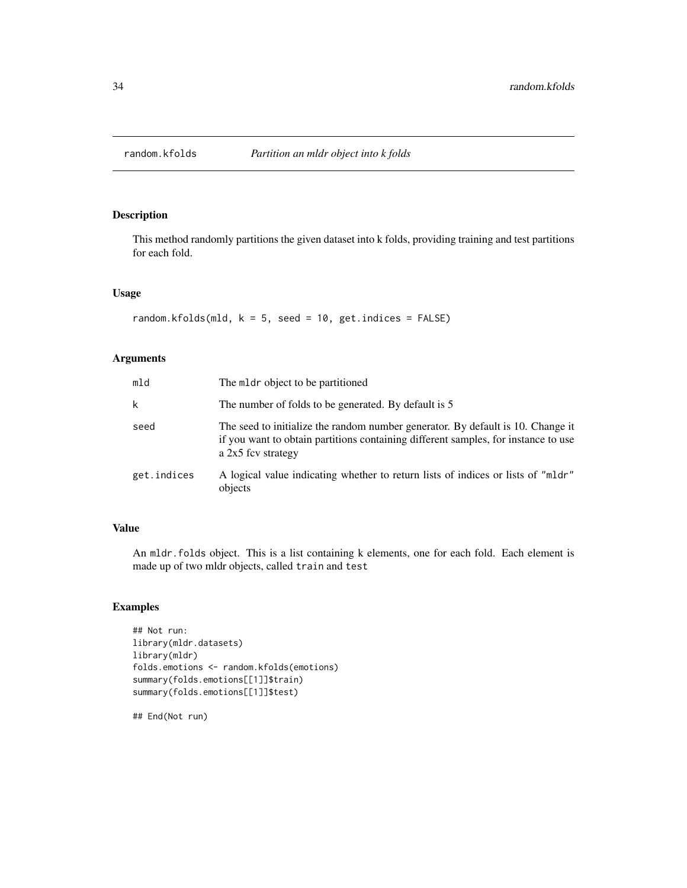<span id="page-33-0"></span>

This method randomly partitions the given dataset into k folds, providing training and test partitions for each fold.

### Usage

```
random.kfolds(mld, k = 5, seed = 10, get.indices = FALSE)
```
### Arguments

| mld         | The mldr object to be partitioned                                                                                                                                                           |
|-------------|---------------------------------------------------------------------------------------------------------------------------------------------------------------------------------------------|
| k           | The number of folds to be generated. By default is 5                                                                                                                                        |
| seed        | The seed to initialize the random number generator. By default is 10. Change it<br>if you want to obtain partitions containing different samples, for instance to use<br>a 2x5 fcv strategy |
| get.indices | A logical value indicating whether to return lists of indices or lists of "mldr"<br>objects                                                                                                 |

### Value

An mldr.folds object. This is a list containing k elements, one for each fold. Each element is made up of two mldr objects, called train and test

### Examples

```
## Not run:
library(mldr.datasets)
library(mldr)
folds.emotions <- random.kfolds(emotions)
summary(folds.emotions[[1]]$train)
summary(folds.emotions[[1]]$test)
```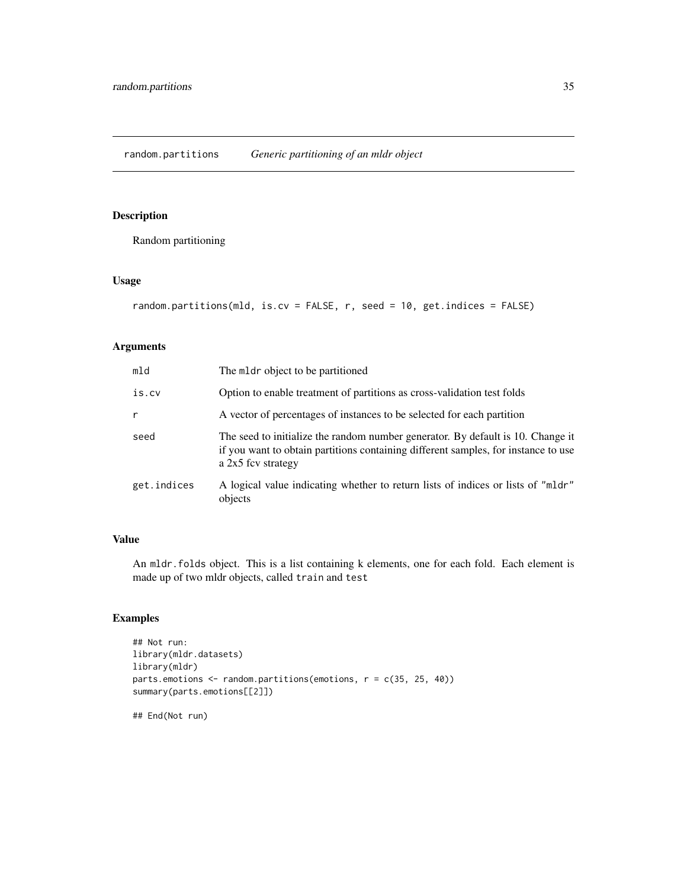<span id="page-34-0"></span>Random partitioning

#### Usage

```
random.partitions(mld, is.cv = FALSE, r, seed = 10, get.indices = FALSE)
```
### Arguments

| mld         | The meter object to be partitioned                                                                                                                                                          |
|-------------|---------------------------------------------------------------------------------------------------------------------------------------------------------------------------------------------|
| is.cv       | Option to enable treatment of partitions as cross-validation test folds                                                                                                                     |
| r           | A vector of percentages of instances to be selected for each partition                                                                                                                      |
| seed        | The seed to initialize the random number generator. By default is 10. Change it<br>if you want to obtain partitions containing different samples, for instance to use<br>a 2x5 fcv strategy |
| get.indices | A logical value indicating whether to return lists of indices or lists of "mldr"<br>objects                                                                                                 |

### Value

An mldr.folds object. This is a list containing k elements, one for each fold. Each element is made up of two mldr objects, called train and test

### Examples

```
## Not run:
library(mldr.datasets)
library(mldr)
parts.emotions <- random.partitions(emotions, r = c(35, 25, 40))
summary(parts.emotions[[2]])
```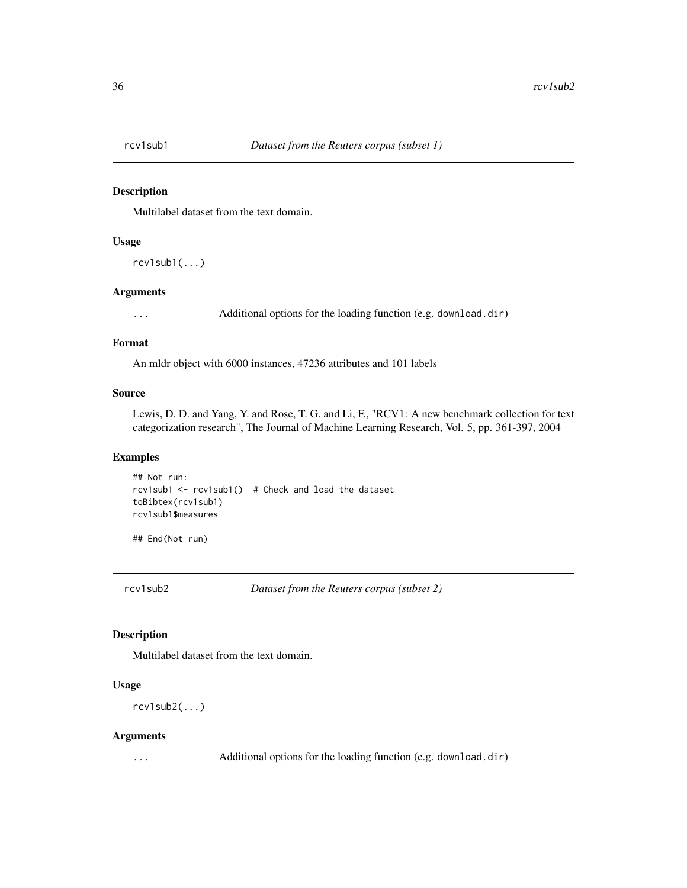<span id="page-35-0"></span>

Multilabel dataset from the text domain.

#### Usage

 $rcv1sub1(...)$ 

#### Arguments

... Additional options for the loading function (e.g. download.dir)

#### Format

An mldr object with 6000 instances, 47236 attributes and 101 labels

#### Source

Lewis, D. D. and Yang, Y. and Rose, T. G. and Li, F., "RCV1: A new benchmark collection for text categorization research", The Journal of Machine Learning Research, Vol. 5, pp. 361-397, 2004

### Examples

```
## Not run:
rcv1sub1 <- rcv1sub1() # Check and load the dataset
toBibtex(rcv1sub1)
rcv1sub1$measures
```
## End(Not run)

rcv1sub2 *Dataset from the Reuters corpus (subset 2)*

### Description

Multilabel dataset from the text domain.

### Usage

rcv1sub2(...)

#### Arguments

... Additional options for the loading function (e.g. download.dir)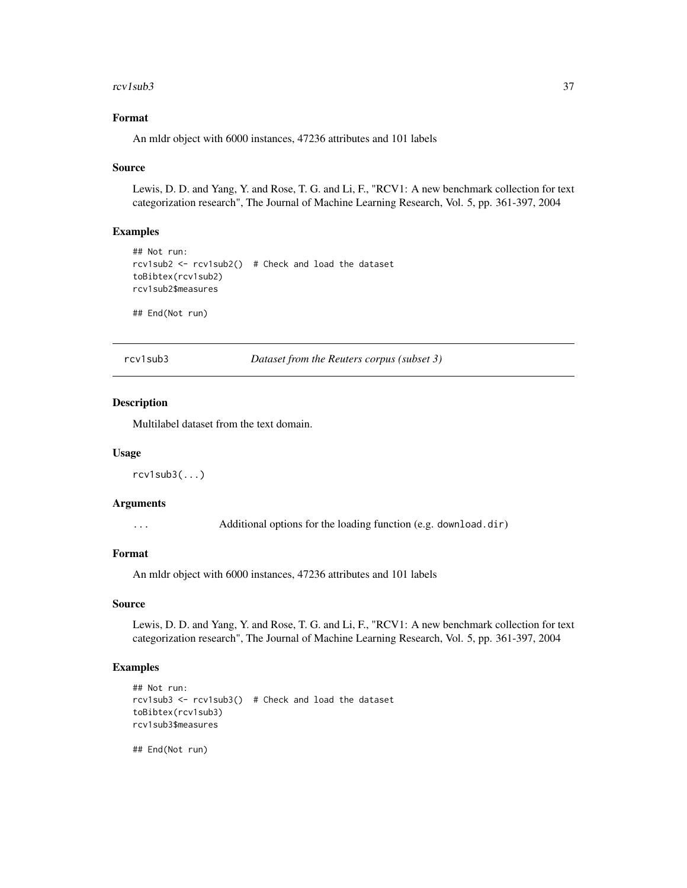#### <span id="page-36-0"></span> $rcv1sub3$   $37$

### Format

An mldr object with 6000 instances, 47236 attributes and 101 labels

#### Source

Lewis, D. D. and Yang, Y. and Rose, T. G. and Li, F., "RCV1: A new benchmark collection for text categorization research", The Journal of Machine Learning Research, Vol. 5, pp. 361-397, 2004

### Examples

```
## Not run:
rcv1sub2 <- rcv1sub2() # Check and load the dataset
toBibtex(rcv1sub2)
rcv1sub2$measures
```
## End(Not run)

rcv1sub3 *Dataset from the Reuters corpus (subset 3)*

### Description

Multilabel dataset from the text domain.

#### Usage

rcv1sub3(...)

### Arguments

... Additional options for the loading function (e.g. download.dir)

### Format

An mldr object with 6000 instances, 47236 attributes and 101 labels

#### Source

Lewis, D. D. and Yang, Y. and Rose, T. G. and Li, F., "RCV1: A new benchmark collection for text categorization research", The Journal of Machine Learning Research, Vol. 5, pp. 361-397, 2004

### Examples

```
## Not run:
rcv1sub3 <- rcv1sub3() # Check and load the dataset
toBibtex(rcv1sub3)
rcv1sub3$measures
```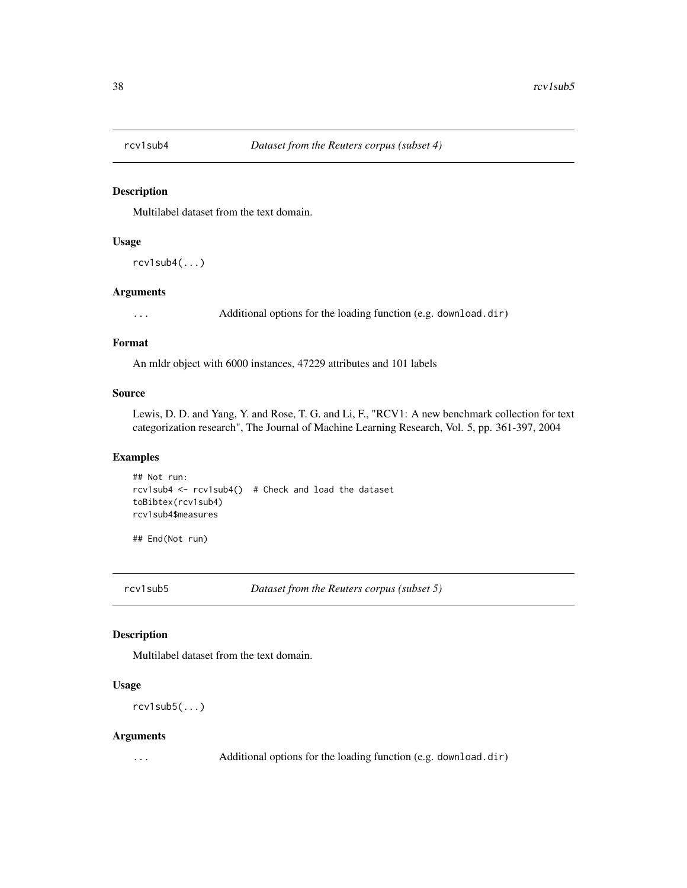<span id="page-37-0"></span>

Multilabel dataset from the text domain.

#### Usage

rcv1sub4(...)

#### Arguments

... Additional options for the loading function (e.g. download.dir)

#### Format

An mldr object with 6000 instances, 47229 attributes and 101 labels

#### Source

Lewis, D. D. and Yang, Y. and Rose, T. G. and Li, F., "RCV1: A new benchmark collection for text categorization research", The Journal of Machine Learning Research, Vol. 5, pp. 361-397, 2004

### Examples

```
## Not run:
rcv1sub4 <- rcv1sub4() # Check and load the dataset
toBibtex(rcv1sub4)
rcv1sub4$measures
```
## End(Not run)

rcv1sub5 *Dataset from the Reuters corpus (subset 5)*

### Description

Multilabel dataset from the text domain.

### Usage

rcv1sub5(...)

#### Arguments

... Additional options for the loading function (e.g. download.dir)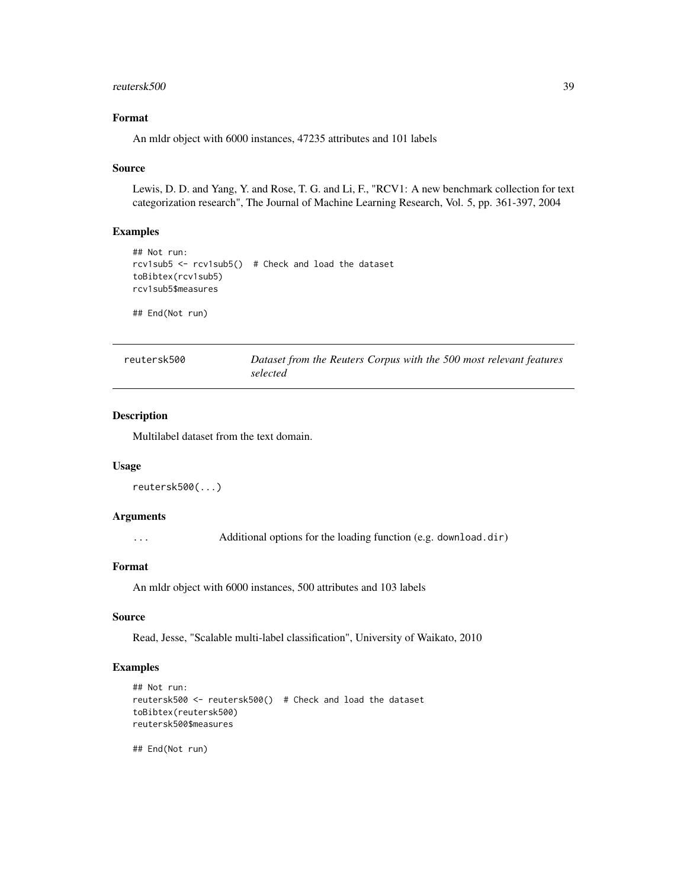#### <span id="page-38-0"></span>reutersk500 39

### Format

An mldr object with 6000 instances, 47235 attributes and 101 labels

#### Source

Lewis, D. D. and Yang, Y. and Rose, T. G. and Li, F., "RCV1: A new benchmark collection for text categorization research", The Journal of Machine Learning Research, Vol. 5, pp. 361-397, 2004

### Examples

```
## Not run:
rcv1sub5 <- rcv1sub5() # Check and load the dataset
toBibtex(rcv1sub5)
rcv1sub5$measures
```
## End(Not run)

| reutersk500 | Dataset from the Reuters Corpus with the 500 most relevant features |
|-------------|---------------------------------------------------------------------|
|             | selected                                                            |

### Description

Multilabel dataset from the text domain.

#### Usage

```
reutersk500(...)
```
#### Arguments

... Additional options for the loading function (e.g. download.dir)

### Format

An mldr object with 6000 instances, 500 attributes and 103 labels

### Source

Read, Jesse, "Scalable multi-label classification", University of Waikato, 2010

### Examples

```
## Not run:
reutersk500 <- reutersk500() # Check and load the dataset
toBibtex(reutersk500)
reutersk500$measures
```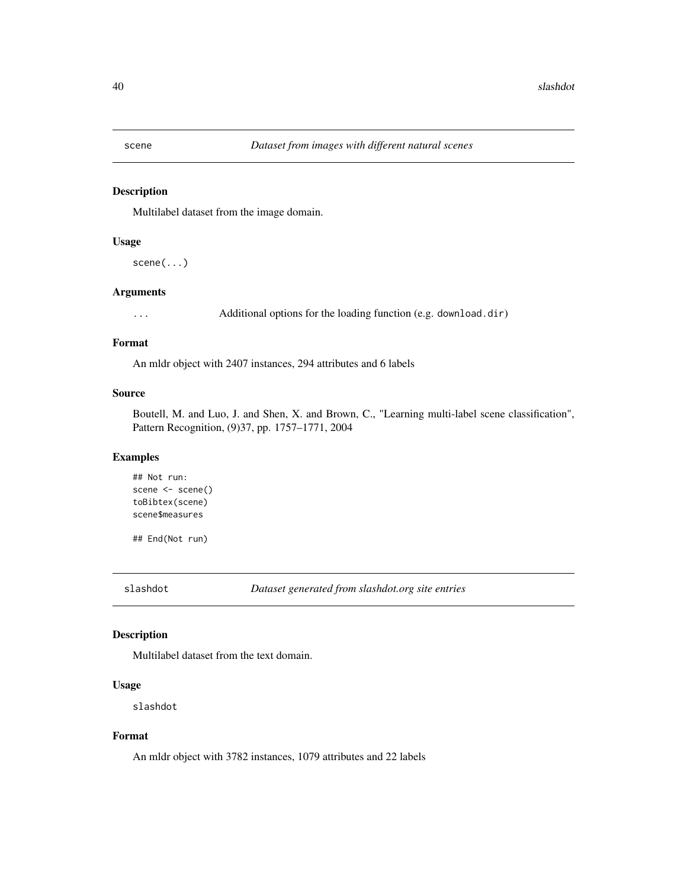<span id="page-39-0"></span>

Multilabel dataset from the image domain.

#### Usage

scene(...)

#### Arguments

... Additional options for the loading function (e.g. download.dir)

#### Format

An mldr object with 2407 instances, 294 attributes and 6 labels

#### Source

Boutell, M. and Luo, J. and Shen, X. and Brown, C., "Learning multi-label scene classification", Pattern Recognition, (9)37, pp. 1757–1771, 2004

### Examples

## Not run: scene <- scene() toBibtex(scene) scene\$measures

## End(Not run)

slashdot *Dataset generated from slashdot.org site entries*

### Description

Multilabel dataset from the text domain.

### Usage

slashdot

### Format

An mldr object with 3782 instances, 1079 attributes and 22 labels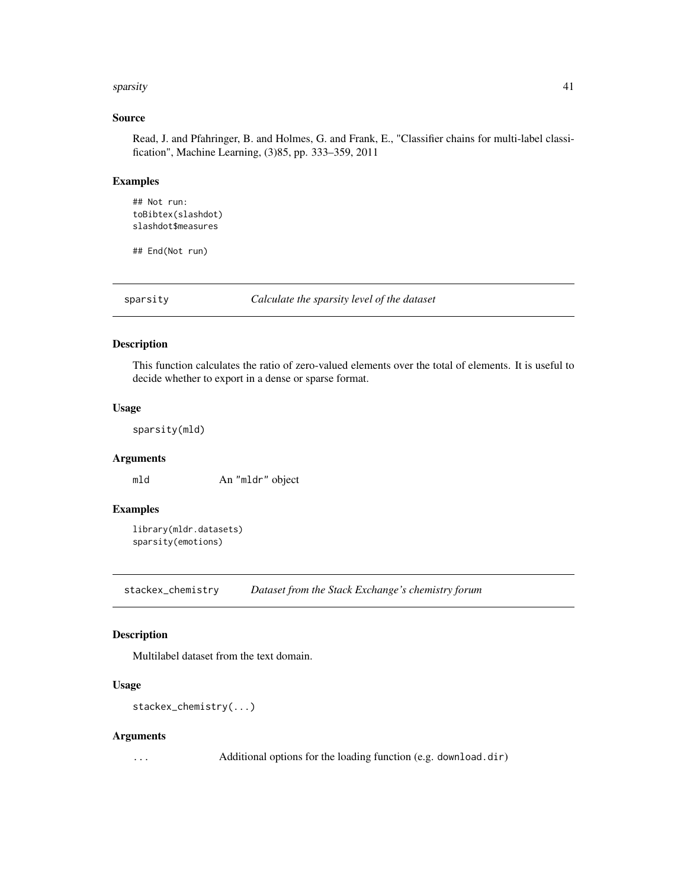#### <span id="page-40-0"></span>sparsity and the set of the set of the set of the set of the set of the set of the set of the set of the set of the set of the set of the set of the set of the set of the set of the set of the set of the set of the set of

### Source

Read, J. and Pfahringer, B. and Holmes, G. and Frank, E., "Classifier chains for multi-label classification", Machine Learning, (3)85, pp. 333–359, 2011

### Examples

```
## Not run:
toBibtex(slashdot)
slashdot$measures
```
## End(Not run)

sparsity *Calculate the sparsity level of the dataset*

### Description

This function calculates the ratio of zero-valued elements over the total of elements. It is useful to decide whether to export in a dense or sparse format.

#### Usage

sparsity(mld)

#### Arguments

mld An "mldr" object

### Examples

```
library(mldr.datasets)
sparsity(emotions)
```
stackex\_chemistry *Dataset from the Stack Exchange's chemistry forum*

### Description

Multilabel dataset from the text domain.

### Usage

```
stackex_chemistry(...)
```
#### Arguments

... Additional options for the loading function (e.g. download.dir)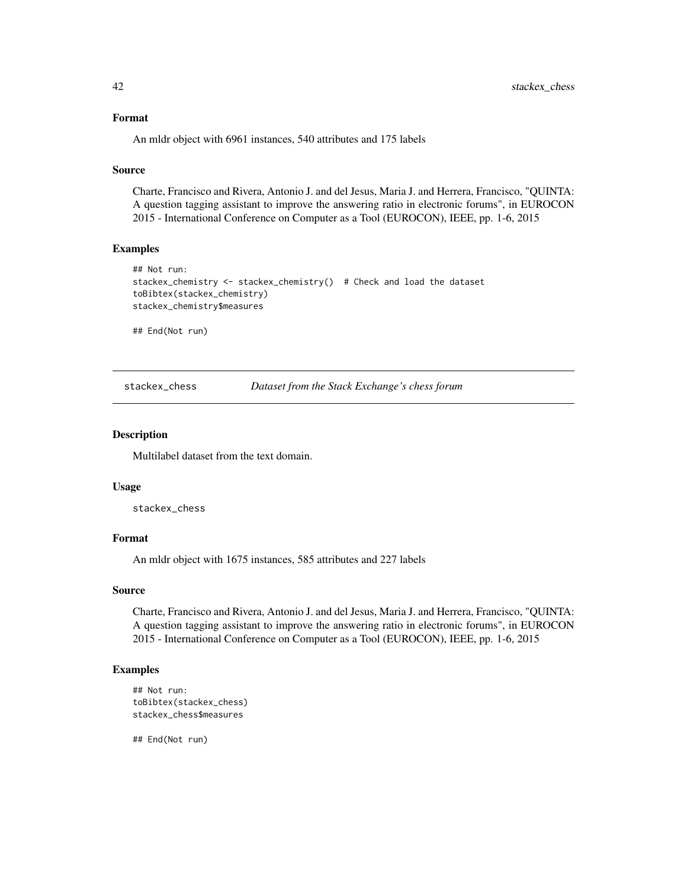#### <span id="page-41-0"></span>Format

An mldr object with 6961 instances, 540 attributes and 175 labels

#### Source

Charte, Francisco and Rivera, Antonio J. and del Jesus, Maria J. and Herrera, Francisco, "QUINTA: A question tagging assistant to improve the answering ratio in electronic forums", in EUROCON 2015 - International Conference on Computer as a Tool (EUROCON), IEEE, pp. 1-6, 2015

#### Examples

```
## Not run:
stackex_chemistry <- stackex_chemistry() # Check and load the dataset
toBibtex(stackex_chemistry)
stackex_chemistry$measures
```
## End(Not run)

stackex\_chess *Dataset from the Stack Exchange's chess forum*

#### Description

Multilabel dataset from the text domain.

#### Usage

stackex\_chess

#### Format

An mldr object with 1675 instances, 585 attributes and 227 labels

#### Source

Charte, Francisco and Rivera, Antonio J. and del Jesus, Maria J. and Herrera, Francisco, "QUINTA: A question tagging assistant to improve the answering ratio in electronic forums", in EUROCON 2015 - International Conference on Computer as a Tool (EUROCON), IEEE, pp. 1-6, 2015

#### Examples

```
## Not run:
toBibtex(stackex_chess)
stackex_chess$measures
```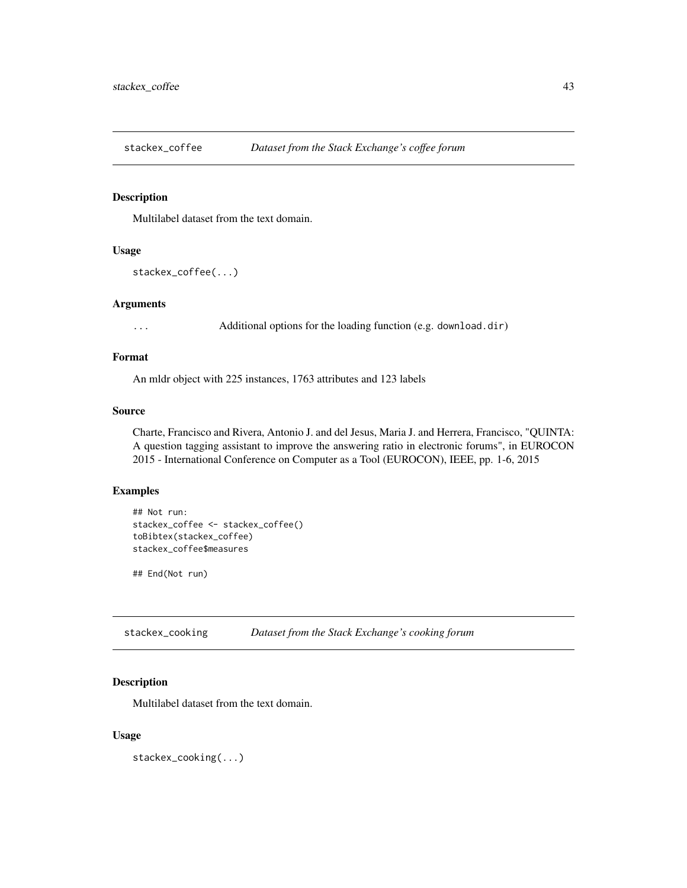<span id="page-42-0"></span>

Multilabel dataset from the text domain.

#### Usage

```
stackex_coffee(...)
```
#### Arguments

... Additional options for the loading function (e.g. download.dir)

### Format

An mldr object with 225 instances, 1763 attributes and 123 labels

#### Source

Charte, Francisco and Rivera, Antonio J. and del Jesus, Maria J. and Herrera, Francisco, "QUINTA: A question tagging assistant to improve the answering ratio in electronic forums", in EUROCON 2015 - International Conference on Computer as a Tool (EUROCON), IEEE, pp. 1-6, 2015

#### Examples

```
## Not run:
stackex_coffee <- stackex_coffee()
toBibtex(stackex_coffee)
stackex_coffee$measures
```
## End(Not run)

stackex\_cooking *Dataset from the Stack Exchange's cooking forum*

### Description

Multilabel dataset from the text domain.

#### Usage

stackex\_cooking(...)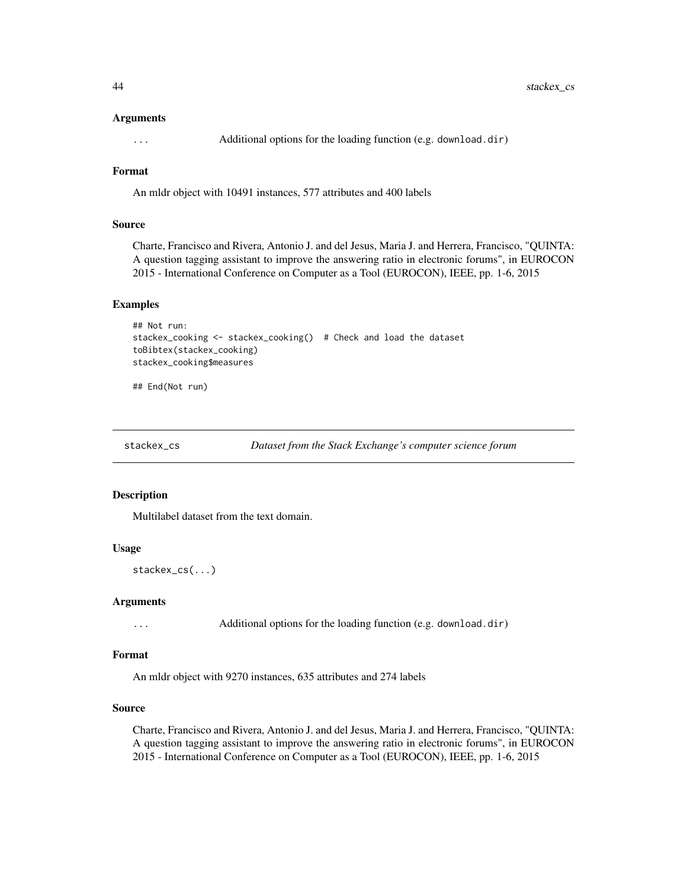#### <span id="page-43-0"></span>Arguments

... Additional options for the loading function (e.g. download.dir)

### Format

An mldr object with 10491 instances, 577 attributes and 400 labels

#### Source

Charte, Francisco and Rivera, Antonio J. and del Jesus, Maria J. and Herrera, Francisco, "QUINTA: A question tagging assistant to improve the answering ratio in electronic forums", in EUROCON 2015 - International Conference on Computer as a Tool (EUROCON), IEEE, pp. 1-6, 2015

#### Examples

```
## Not run:
stackex_cooking <- stackex_cooking() # Check and load the dataset
toBibtex(stackex_cooking)
stackex_cooking$measures
```
## End(Not run)

stackex\_cs *Dataset from the Stack Exchange's computer science forum*

#### Description

Multilabel dataset from the text domain.

### Usage

stackex\_cs(...)

#### Arguments

... Additional options for the loading function (e.g. download.dir)

#### Format

An mldr object with 9270 instances, 635 attributes and 274 labels

### Source

Charte, Francisco and Rivera, Antonio J. and del Jesus, Maria J. and Herrera, Francisco, "QUINTA: A question tagging assistant to improve the answering ratio in electronic forums", in EUROCON 2015 - International Conference on Computer as a Tool (EUROCON), IEEE, pp. 1-6, 2015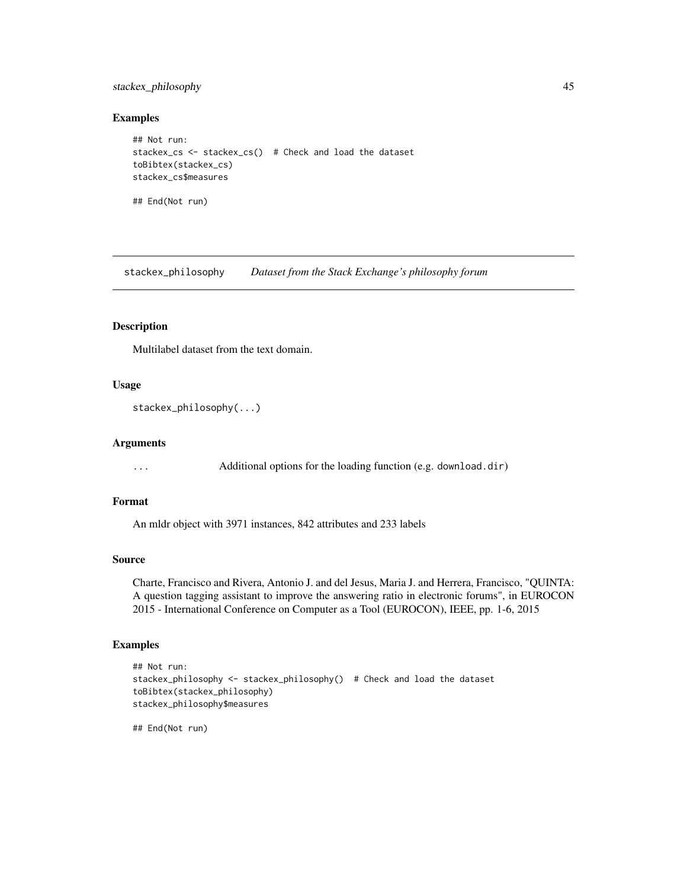### <span id="page-44-0"></span>stackex\_philosophy 45

#### Examples

```
## Not run:
stackex_cs <- stackex_cs() # Check and load the dataset
toBibtex(stackex_cs)
stackex_cs$measures
## End(Not run)
```
stackex\_philosophy *Dataset from the Stack Exchange's philosophy forum*

### Description

Multilabel dataset from the text domain.

### Usage

```
stackex_philosophy(...)
```
#### Arguments

... Additional options for the loading function (e.g. download.dir)

#### Format

An mldr object with 3971 instances, 842 attributes and 233 labels

### Source

Charte, Francisco and Rivera, Antonio J. and del Jesus, Maria J. and Herrera, Francisco, "QUINTA: A question tagging assistant to improve the answering ratio in electronic forums", in EUROCON 2015 - International Conference on Computer as a Tool (EUROCON), IEEE, pp. 1-6, 2015

#### Examples

```
## Not run:
stackex_philosophy <- stackex_philosophy() # Check and load the dataset
toBibtex(stackex_philosophy)
stackex_philosophy$measures
```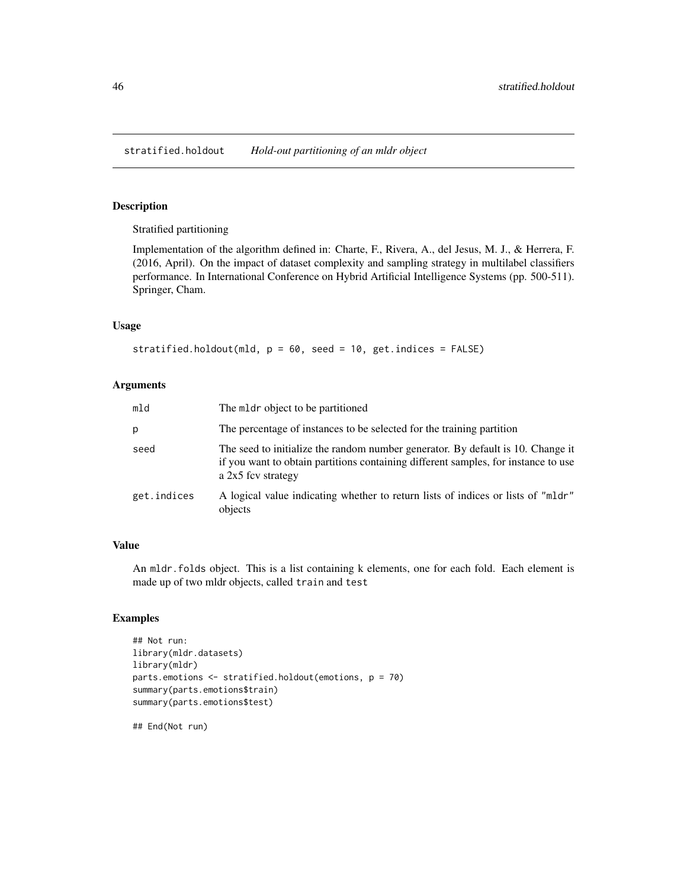<span id="page-45-0"></span>Stratified partitioning

Implementation of the algorithm defined in: Charte, F., Rivera, A., del Jesus, M. J., & Herrera, F. (2016, April). On the impact of dataset complexity and sampling strategy in multilabel classifiers performance. In International Conference on Hybrid Artificial Intelligence Systems (pp. 500-511). Springer, Cham.

### Usage

```
stratified.holdout(mld, p = 60, seed = 10, get.indices = FALSE)
```
#### Arguments

| mld         | The meter object to be partitioned                                                                                                                                                            |
|-------------|-----------------------------------------------------------------------------------------------------------------------------------------------------------------------------------------------|
| р           | The percentage of instances to be selected for the training partition                                                                                                                         |
| seed        | The seed to initialize the random number generator. By default is 10. Change it<br>if you want to obtain partitions containing different samples, for instance to use<br>a $2x5$ fcv strategy |
| get.indices | A logical value indicating whether to return lists of indices or lists of "mldr"<br>objects                                                                                                   |

### Value

An mldr.folds object. This is a list containing k elements, one for each fold. Each element is made up of two mldr objects, called train and test

### Examples

```
## Not run:
library(mldr.datasets)
library(mldr)
parts.emotions <- stratified.holdout(emotions, p = 70)
summary(parts.emotions$train)
summary(parts.emotions$test)
```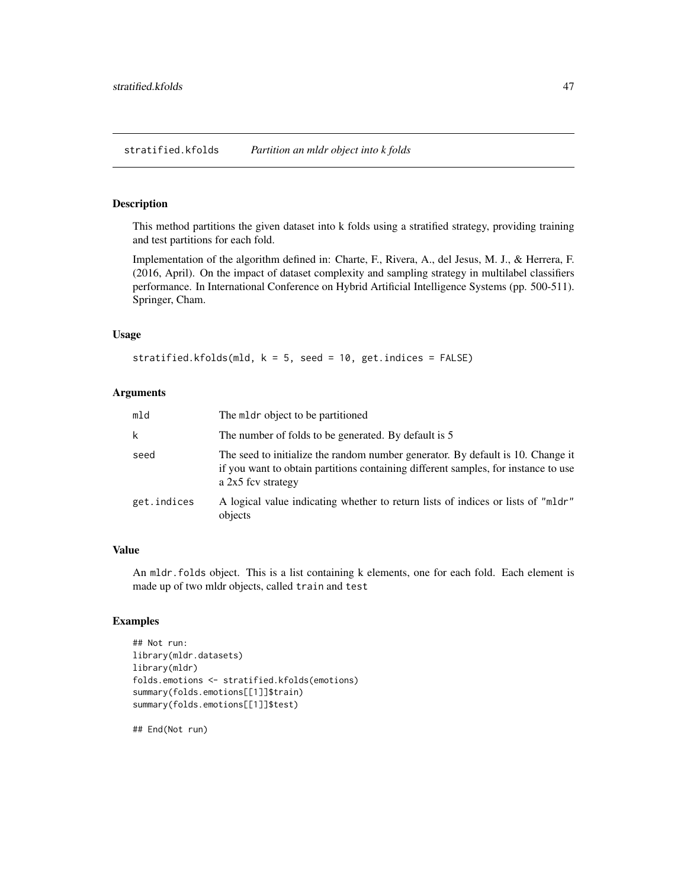<span id="page-46-0"></span>This method partitions the given dataset into k folds using a stratified strategy, providing training and test partitions for each fold.

Implementation of the algorithm defined in: Charte, F., Rivera, A., del Jesus, M. J., & Herrera, F. (2016, April). On the impact of dataset complexity and sampling strategy in multilabel classifiers performance. In International Conference on Hybrid Artificial Intelligence Systems (pp. 500-511). Springer, Cham.

### Usage

```
stratified.kfolds(mld, k = 5, seed = 10, get.indices = FALSE)
```
#### **Arguments**

| mld         | The meter object to be partitioned                                                                                                                                                          |
|-------------|---------------------------------------------------------------------------------------------------------------------------------------------------------------------------------------------|
| k           | The number of folds to be generated. By default is 5                                                                                                                                        |
| seed        | The seed to initialize the random number generator. By default is 10. Change it<br>if you want to obtain partitions containing different samples, for instance to use<br>a 2x5 fcv strategy |
| get.indices | A logical value indicating whether to return lists of indices or lists of "mldr"<br>objects                                                                                                 |

### Value

An mldr.folds object. This is a list containing k elements, one for each fold. Each element is made up of two mldr objects, called train and test

### Examples

```
## Not run:
library(mldr.datasets)
library(mldr)
folds.emotions <- stratified.kfolds(emotions)
summary(folds.emotions[[1]]$train)
summary(folds.emotions[[1]]$test)
```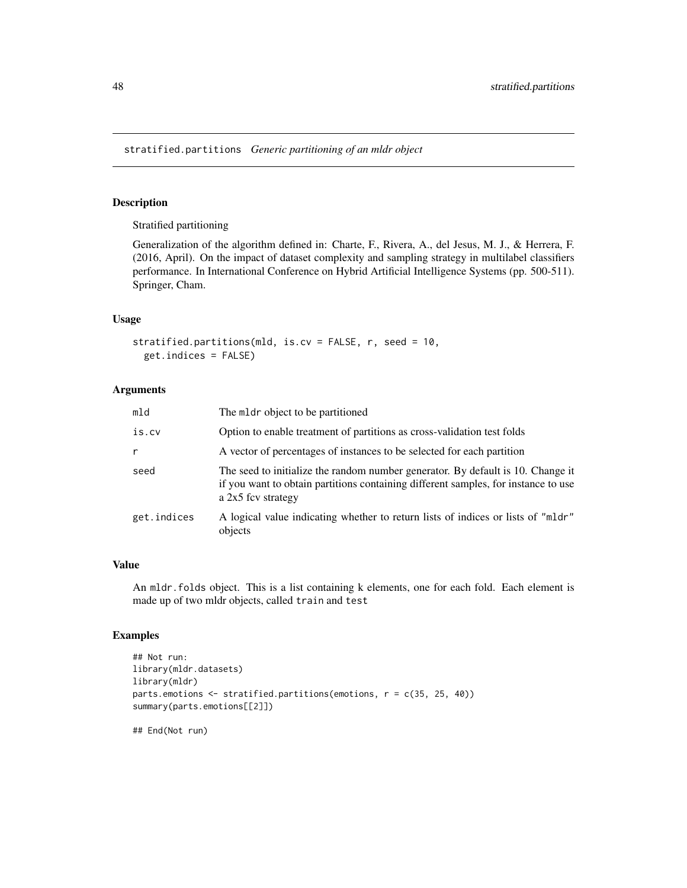<span id="page-47-0"></span>stratified.partitions *Generic partitioning of an mldr object*

### Description

Stratified partitioning

Generalization of the algorithm defined in: Charte, F., Rivera, A., del Jesus, M. J., & Herrera, F. (2016, April). On the impact of dataset complexity and sampling strategy in multilabel classifiers performance. In International Conference on Hybrid Artificial Intelligence Systems (pp. 500-511). Springer, Cham.

### Usage

stratified.partitions(mld, is.cv = FALSE, r, seed = 10, get.indices = FALSE)

### Arguments

| mld         | The meter object to be partitioned                                                                                                                                                          |
|-------------|---------------------------------------------------------------------------------------------------------------------------------------------------------------------------------------------|
| is.cv       | Option to enable treatment of partitions as cross-validation test folds                                                                                                                     |
| r           | A vector of percentages of instances to be selected for each partition                                                                                                                      |
| seed        | The seed to initialize the random number generator. By default is 10. Change it<br>if you want to obtain partitions containing different samples, for instance to use<br>a 2x5 fcv strategy |
| get.indices | A logical value indicating whether to return lists of indices or lists of "mldr"<br>objects                                                                                                 |

#### Value

An mldr.folds object. This is a list containing k elements, one for each fold. Each element is made up of two mldr objects, called train and test

### Examples

```
## Not run:
library(mldr.datasets)
library(mldr)
parts.emotions <- stratified.partitions(emotions, r = c(35, 25, 40))
summary(parts.emotions[[2]])
```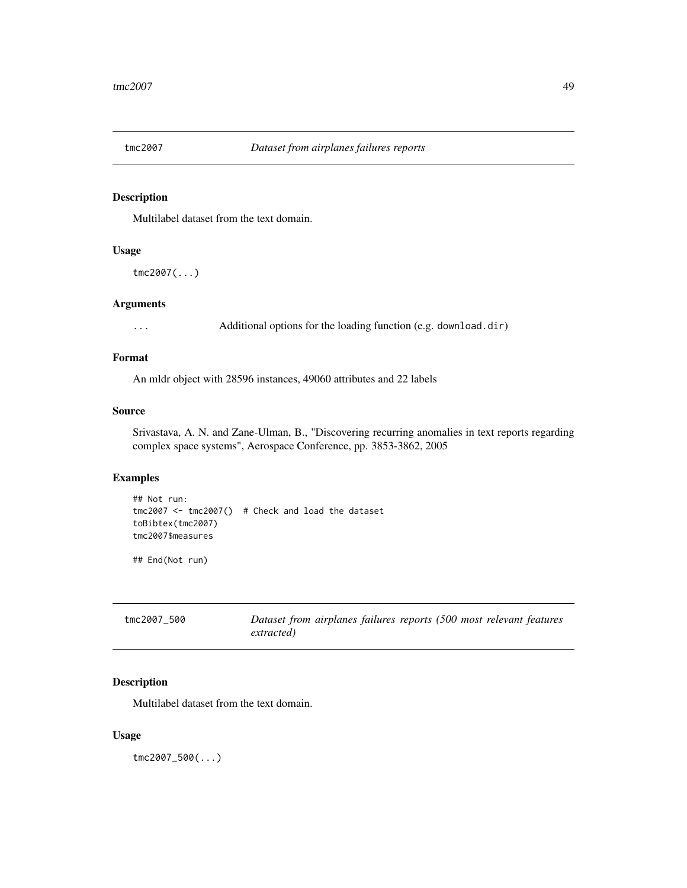<span id="page-48-0"></span>

Multilabel dataset from the text domain.

### Usage

tmc2007(...)

### Arguments

... Additional options for the loading function (e.g. download.dir)

### Format

An mldr object with 28596 instances, 49060 attributes and 22 labels

#### Source

Srivastava, A. N. and Zane-Ulman, B., "Discovering recurring anomalies in text reports regarding complex space systems", Aerospace Conference, pp. 3853-3862, 2005

### Examples

```
## Not run:
tmc2007 <- tmc2007() # Check and load the dataset
toBibtex(tmc2007)
tmc2007$measures
```
## End(Not run)

| tmc2007 500 | Dataset from airplanes failures reports (500 most relevant features |
|-------------|---------------------------------------------------------------------|
|             | extracted)                                                          |

### Description

Multilabel dataset from the text domain.

### Usage

tmc2007\_500(...)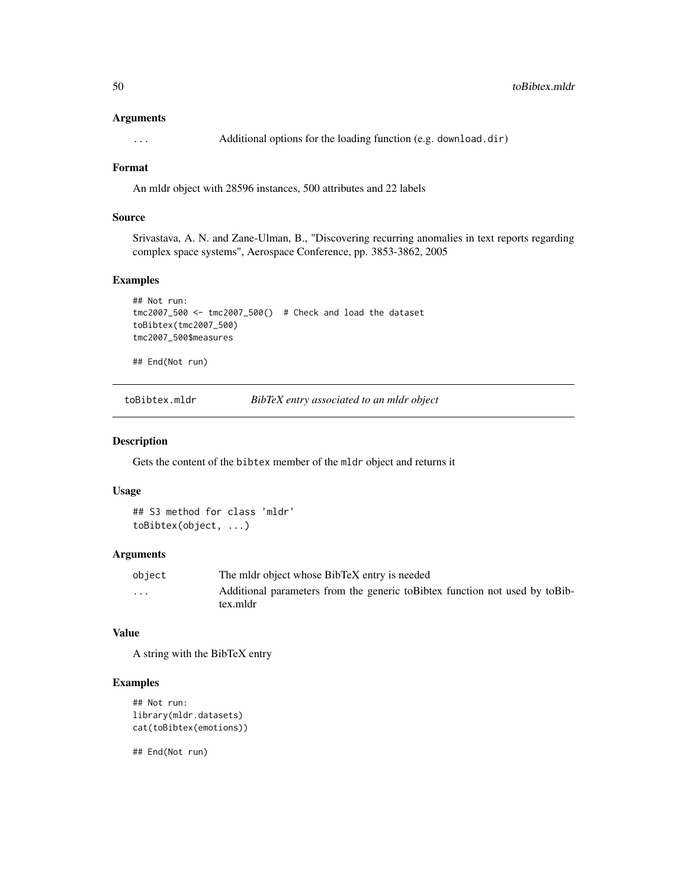#### <span id="page-49-0"></span>Arguments

... Additional options for the loading function (e.g. download.dir)

### Format

An mldr object with 28596 instances, 500 attributes and 22 labels

### Source

Srivastava, A. N. and Zane-Ulman, B., "Discovering recurring anomalies in text reports regarding complex space systems", Aerospace Conference, pp. 3853-3862, 2005

#### Examples

```
## Not run:
tmc2007_500 <- tmc2007_500() # Check and load the dataset
toBibtex(tmc2007_500)
tmc2007_500$measures
```
## End(Not run)

toBibtex.mldr *BibTeX entry associated to an mldr object*

#### Description

Gets the content of the bibtex member of the mldr object and returns it

#### Usage

```
## S3 method for class 'mldr'
toBibtex(object, ...)
```
### Arguments

| object   | The midr object whose BibTeX entry is needed                                              |
|----------|-------------------------------------------------------------------------------------------|
| $\cdots$ | Additional parameters from the generic to Bibtex function not used by to Bib-<br>tex.mldr |

#### Value

A string with the BibTeX entry

### Examples

```
## Not run:
library(mldr.datasets)
cat(toBibtex(emotions))
```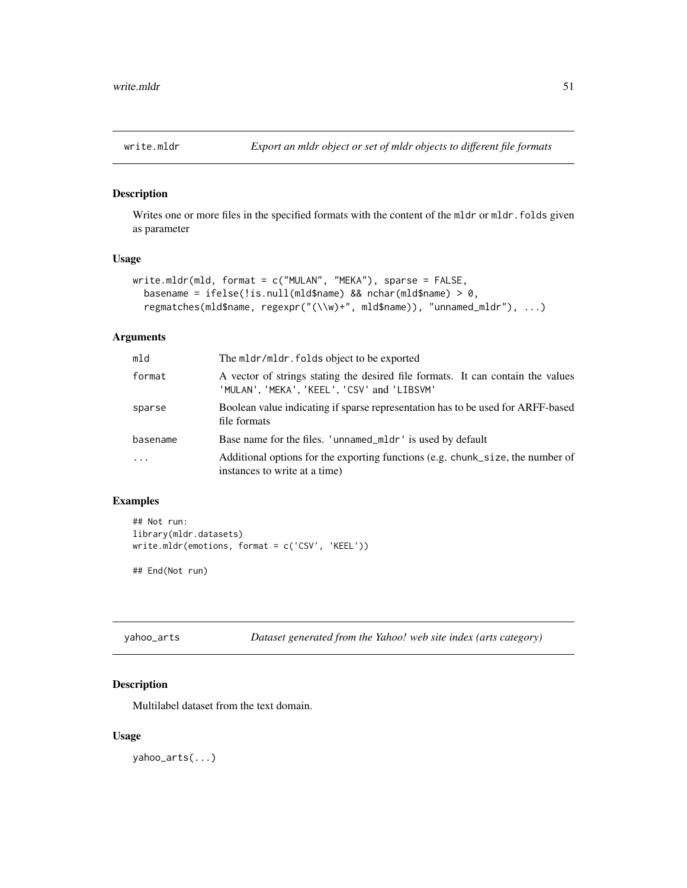<span id="page-50-0"></span>

Writes one or more files in the specified formats with the content of the mldr or mldr.folds given as parameter

### Usage

```
write.mldr(mld, format = c("MULAN", "MEKA"), sparse = FALSE,
  basename = ifelse(!is.null(mld$name) && nchar(mld$name) > 0,
  regmatches(mld$name, regexpr("(\\w)+", mld$name)), "unnamed_mldr"), ...)
```
#### Arguments

| mld      | The mldr/mldr. folds object to be exported                                                                                     |
|----------|--------------------------------------------------------------------------------------------------------------------------------|
| format   | A vector of strings stating the desired file formats. It can contain the values<br>'MULAN', 'MEKA', 'KEEL', 'CSV' and 'LIBSVM' |
| sparse   | Boolean value indicating if sparse representation has to be used for ARFF-based<br>file formats                                |
| basename | Base name for the files. 'unnamed_mldr' is used by default                                                                     |
| .        | Additional options for the exporting functions (e.g. chunk_size, the number of<br>instances to write at a time)                |

### Examples

```
## Not run:
library(mldr.datasets)
write.mldr(emotions, format = c('CSV', 'KEEL'))
```
## End(Not run)

yahoo\_arts *Dataset generated from the Yahoo! web site index (arts category)*

### Description

Multilabel dataset from the text domain.

## Usage

yahoo\_arts(...)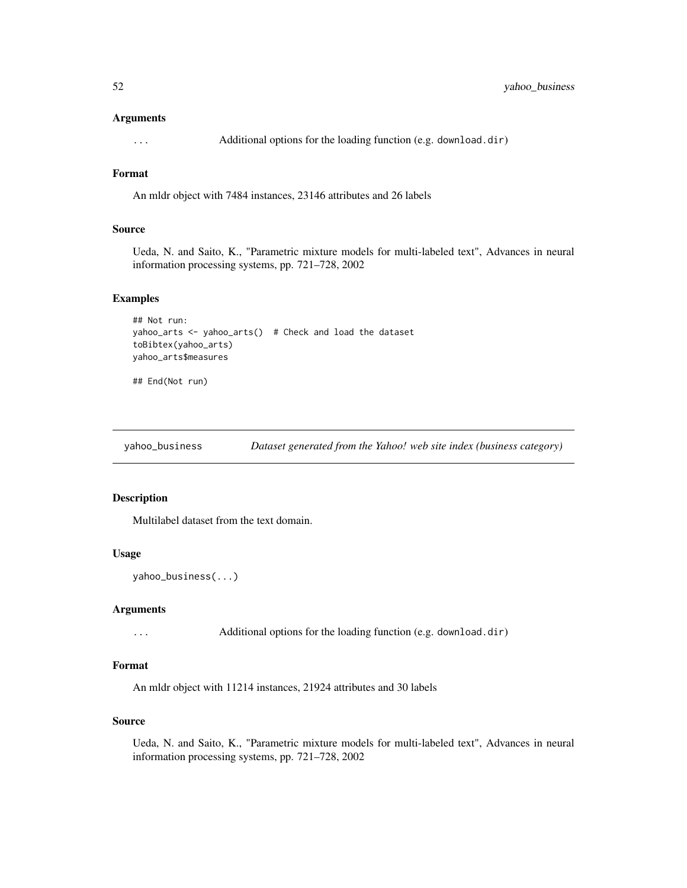#### <span id="page-51-0"></span>Arguments

... Additional options for the loading function (e.g. download.dir)

### Format

An mldr object with 7484 instances, 23146 attributes and 26 labels

### Source

Ueda, N. and Saito, K., "Parametric mixture models for multi-labeled text", Advances in neural information processing systems, pp. 721–728, 2002

#### Examples

```
## Not run:
yahoo_arts <- yahoo_arts() # Check and load the dataset
toBibtex(yahoo_arts)
yahoo_arts$measures
```
## End(Not run)

yahoo\_business *Dataset generated from the Yahoo! web site index (business category)*

### Description

Multilabel dataset from the text domain.

### Usage

```
yahoo_business(...)
```
#### Arguments

... Additional options for the loading function (e.g. download.dir)

### Format

An mldr object with 11214 instances, 21924 attributes and 30 labels

#### Source

Ueda, N. and Saito, K., "Parametric mixture models for multi-labeled text", Advances in neural information processing systems, pp. 721–728, 2002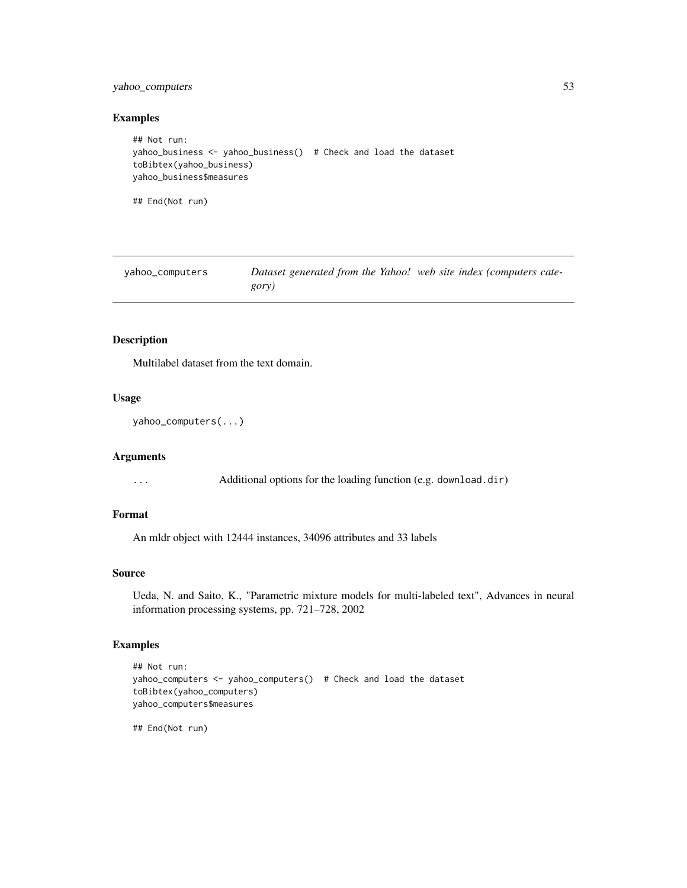### <span id="page-52-0"></span>yahoo\_computers 53

#### Examples

```
## Not run:
yahoo_business <- yahoo_business() # Check and load the dataset
toBibtex(yahoo_business)
yahoo_business$measures
## End(Not run)
```

| yahoo_computers | Dataset generated from the Yahoo! web site index (computers cate- |  |
|-----------------|-------------------------------------------------------------------|--|
|                 | gory)                                                             |  |

### Description

Multilabel dataset from the text domain.

#### Usage

```
yahoo_computers(...)
```
### Arguments

... Additional options for the loading function (e.g. download.dir)

### Format

An mldr object with 12444 instances, 34096 attributes and 33 labels

### Source

Ueda, N. and Saito, K., "Parametric mixture models for multi-labeled text", Advances in neural information processing systems, pp. 721–728, 2002

### Examples

```
## Not run:
yahoo_computers <- yahoo_computers() # Check and load the dataset
toBibtex(yahoo_computers)
yahoo_computers$measures
```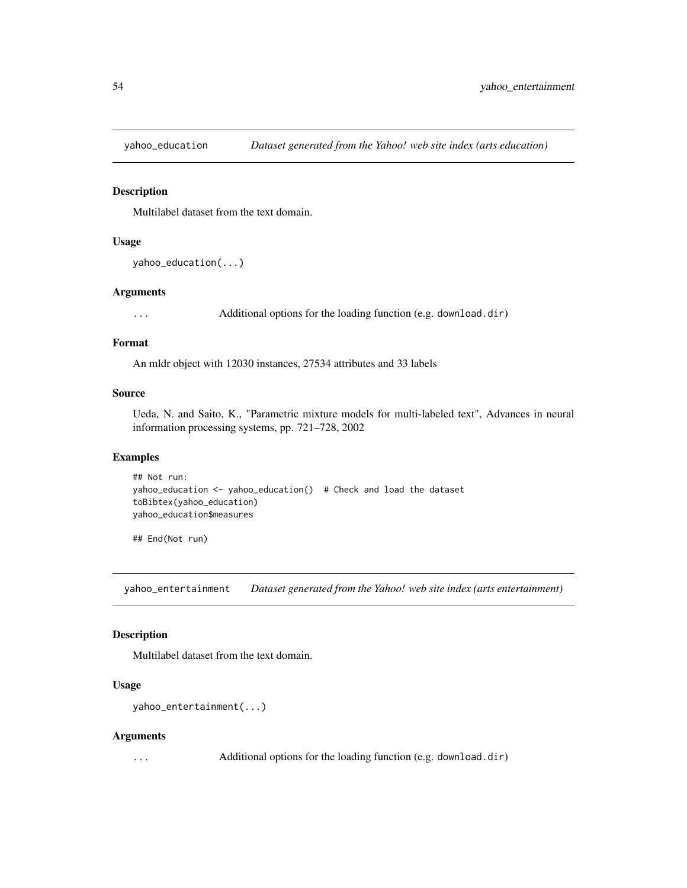<span id="page-53-0"></span>

Multilabel dataset from the text domain.

#### Usage

```
yahoo_education(...)
```
#### Arguments

... Additional options for the loading function (e.g. download.dir)

#### Format

An mldr object with 12030 instances, 27534 attributes and 33 labels

#### Source

Ueda, N. and Saito, K., "Parametric mixture models for multi-labeled text", Advances in neural information processing systems, pp. 721–728, 2002

### Examples

```
## Not run:
yahoo_education <- yahoo_education() # Check and load the dataset
toBibtex(yahoo_education)
yahoo_education$measures
```
## End(Not run)

yahoo\_entertainment *Dataset generated from the Yahoo! web site index (arts entertainment)*

### Description

Multilabel dataset from the text domain.

### Usage

```
yahoo_entertainment(...)
```
#### Arguments

... Additional options for the loading function (e.g. download.dir)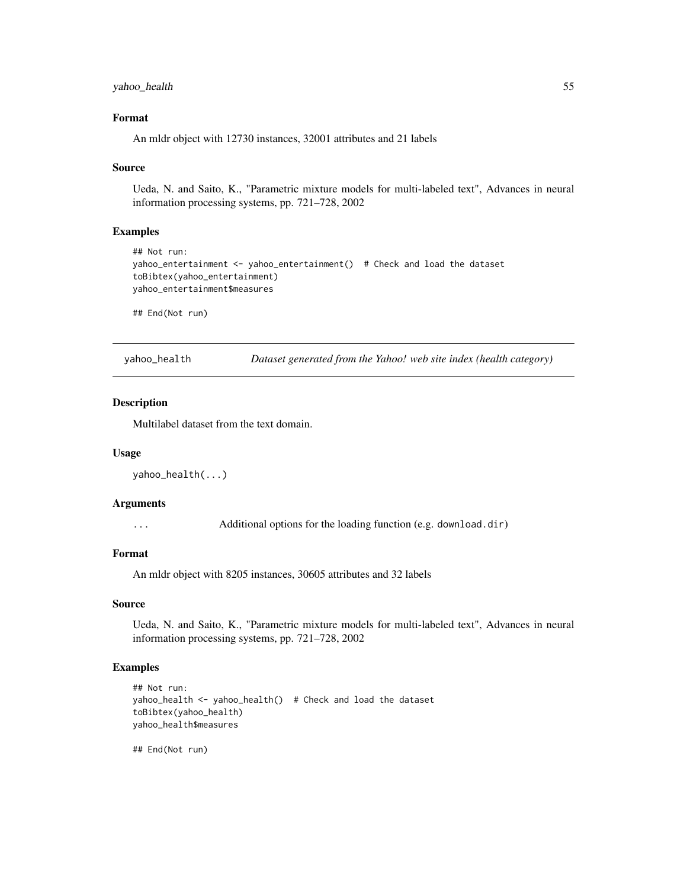### <span id="page-54-0"></span>yahoo\_health 55

### Format

An mldr object with 12730 instances, 32001 attributes and 21 labels

#### Source

Ueda, N. and Saito, K., "Parametric mixture models for multi-labeled text", Advances in neural information processing systems, pp. 721–728, 2002

#### Examples

```
## Not run:
yahoo_entertainment <- yahoo_entertainment() # Check and load the dataset
toBibtex(yahoo_entertainment)
yahoo_entertainment$measures
```
## End(Not run)

yahoo\_health *Dataset generated from the Yahoo! web site index (health category)*

#### Description

Multilabel dataset from the text domain.

#### Usage

```
yahoo_health(...)
```
### Arguments

... Additional options for the loading function (e.g. download.dir)

### Format

An mldr object with 8205 instances, 30605 attributes and 32 labels

#### Source

Ueda, N. and Saito, K., "Parametric mixture models for multi-labeled text", Advances in neural information processing systems, pp. 721–728, 2002

### Examples

```
## Not run:
yahoo_health <- yahoo_health() # Check and load the dataset
toBibtex(yahoo_health)
yahoo_health$measures
```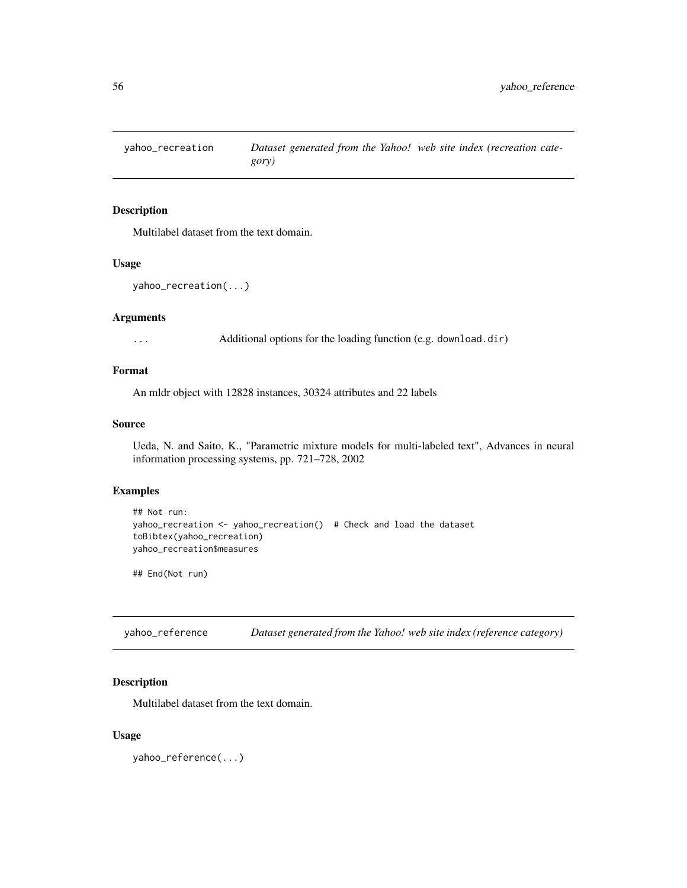<span id="page-55-0"></span>

Multilabel dataset from the text domain.

#### Usage

```
yahoo_recreation(...)
```
### Arguments

... Additional options for the loading function (e.g. download.dir)

### Format

An mldr object with 12828 instances, 30324 attributes and 22 labels

### Source

Ueda, N. and Saito, K., "Parametric mixture models for multi-labeled text", Advances in neural information processing systems, pp. 721–728, 2002

#### Examples

```
## Not run:
yahoo_recreation <- yahoo_recreation() # Check and load the dataset
toBibtex(yahoo_recreation)
yahoo_recreation$measures
```
## End(Not run)

yahoo\_reference *Dataset generated from the Yahoo! web site index (reference category)*

### Description

Multilabel dataset from the text domain.

### Usage

yahoo\_reference(...)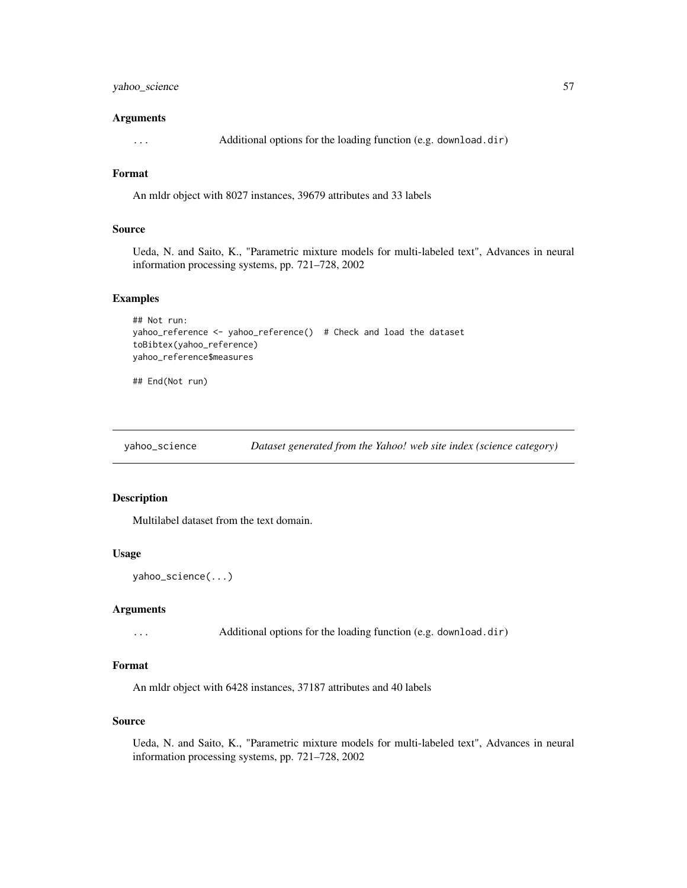### <span id="page-56-0"></span>yahoo\_science 57

#### Arguments

... Additional options for the loading function (e.g. download.dir)

### Format

An mldr object with 8027 instances, 39679 attributes and 33 labels

### Source

Ueda, N. and Saito, K., "Parametric mixture models for multi-labeled text", Advances in neural information processing systems, pp. 721–728, 2002

#### Examples

```
## Not run:
yahoo_reference <- yahoo_reference() # Check and load the dataset
toBibtex(yahoo_reference)
yahoo_reference$measures
```
## End(Not run)

yahoo\_science *Dataset generated from the Yahoo! web site index (science category)*

### Description

Multilabel dataset from the text domain.

### Usage

```
yahoo_science(...)
```
#### Arguments

... Additional options for the loading function (e.g. download.dir)

### Format

An mldr object with 6428 instances, 37187 attributes and 40 labels

#### Source

Ueda, N. and Saito, K., "Parametric mixture models for multi-labeled text", Advances in neural information processing systems, pp. 721–728, 2002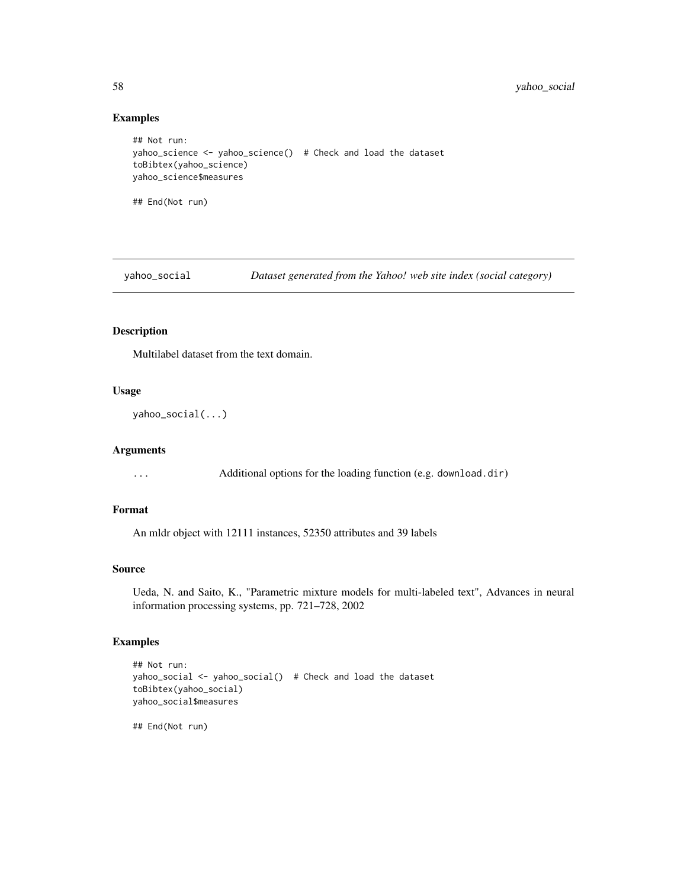### Examples

```
## Not run:
yahoo_science <- yahoo_science() # Check and load the dataset
toBibtex(yahoo_science)
yahoo_science$measures
## End(Not run)
```
yahoo\_social *Dataset generated from the Yahoo! web site index (social category)*

### Description

Multilabel dataset from the text domain.

### Usage

```
yahoo_social(...)
```
### Arguments

... Additional options for the loading function (e.g. download.dir)

### Format

An mldr object with 12111 instances, 52350 attributes and 39 labels

### Source

Ueda, N. and Saito, K., "Parametric mixture models for multi-labeled text", Advances in neural information processing systems, pp. 721–728, 2002

### Examples

```
## Not run:
yahoo_social <- yahoo_social() # Check and load the dataset
toBibtex(yahoo_social)
yahoo_social$measures
```
<span id="page-57-0"></span>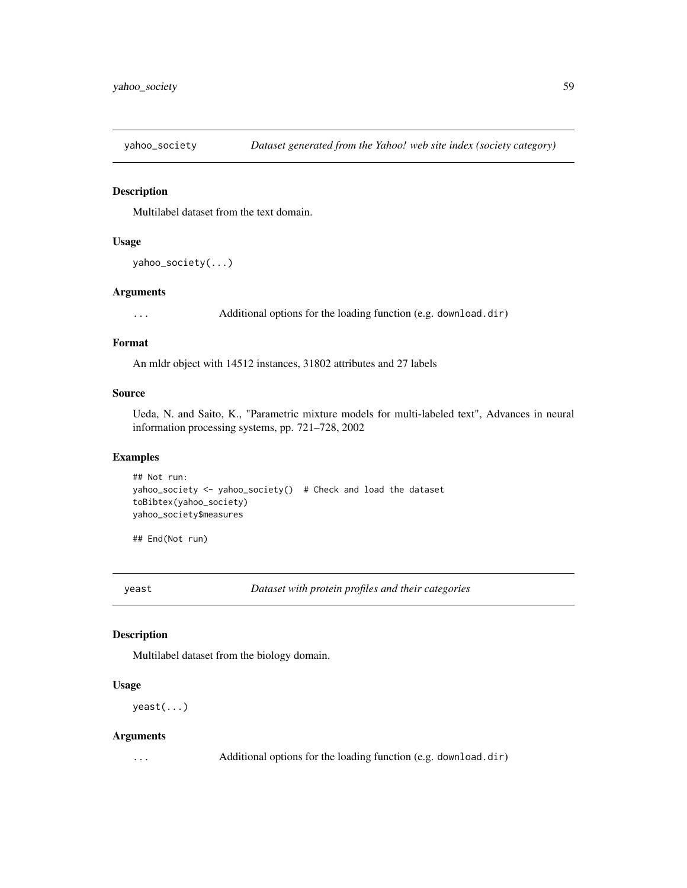<span id="page-58-0"></span>

Multilabel dataset from the text domain.

#### Usage

```
yahoo_society(...)
```
#### Arguments

... Additional options for the loading function (e.g. download.dir)

#### Format

An mldr object with 14512 instances, 31802 attributes and 27 labels

#### Source

Ueda, N. and Saito, K., "Parametric mixture models for multi-labeled text", Advances in neural information processing systems, pp. 721–728, 2002

### Examples

```
## Not run:
yahoo_society <- yahoo_society() # Check and load the dataset
toBibtex(yahoo_society)
yahoo_society$measures
```
## End(Not run)

yeast *Dataset with protein profiles and their categories*

### Description

Multilabel dataset from the biology domain.

### Usage

yeast(...)

#### Arguments

... Additional options for the loading function (e.g. download.dir)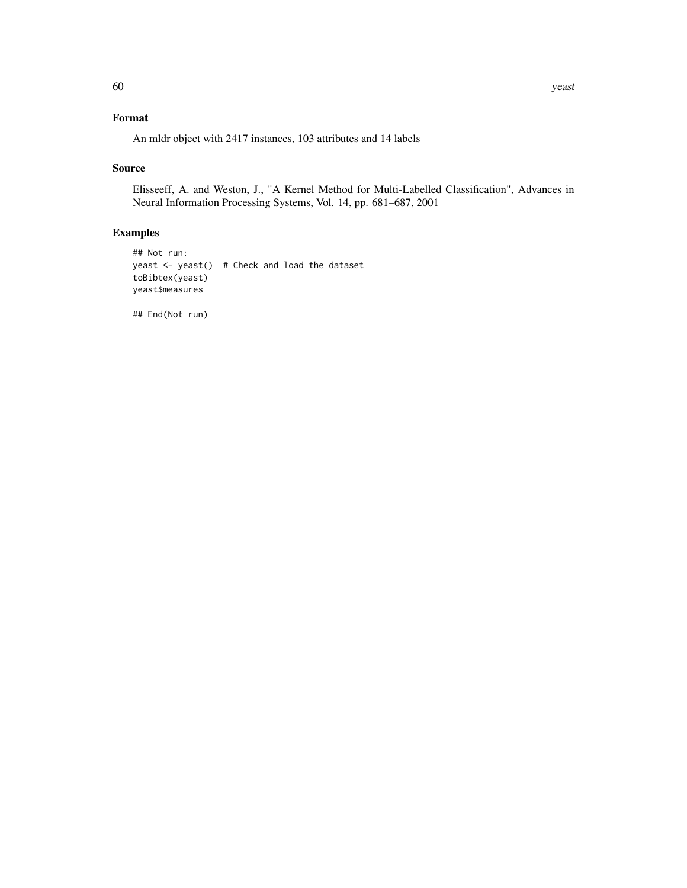## Format

An mldr object with 2417 instances, 103 attributes and 14 labels

### Source

Elisseeff, A. and Weston, J., "A Kernel Method for Multi-Labelled Classification", Advances in Neural Information Processing Systems, Vol. 14, pp. 681–687, 2001

### Examples

```
## Not run:
yeast <- yeast() # Check and load the dataset
toBibtex(yeast)
yeast$measures
```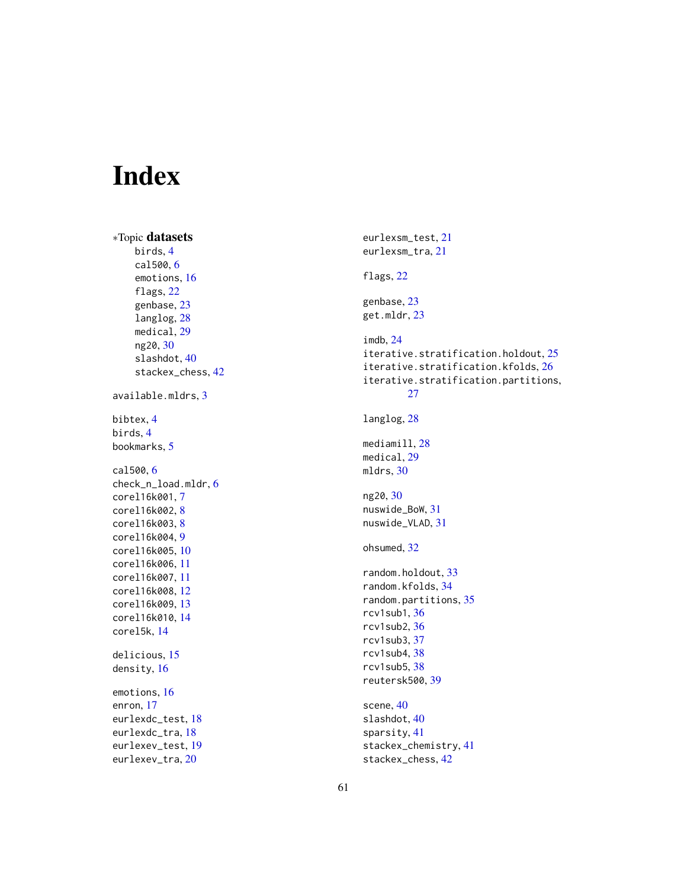# <span id="page-60-0"></span>Index

```
∗Topic datasets
     birds
,
4
     cal500
,
6
     emotions
, 16
     flags
, 22
     genbase
, 23
     langlog
, 28
     medical
, 29
     ng20
, 30
     40
     stackex_chess
, 42
available.mldrs
,
3
bibtex
,
4
birds
,
4
bookmarks
,
5
cal500
,
6
check_n_load.mldr
,
6
corel16k001
,
7
corel16k002
,
8
corel16k003
,
8
corel16k004
,
9
corel16k005
, 10
corel16k006
, 11
corel16k007
, 11
corel16k008
, 12
corel16k009
, 13
corel16k010
, 14
corel5k
, 14
delicious
, 15
density
, 16
emotions
, 16
enron
, 17
eurlexdc_test
, 18
eurlexdc_tra
, 18
eurlexev_test
, 19
20
```

```
eurlexsm_test
, 21
eurlexsm_tra
, 21
flags
, 22
genbase
, 23
get.mldr
, 23
imdb
, 24
25
iterative.stratification.kfolds
, 26
iterative.stratification.partitions
,
       27
28
<code>mediamill</code>,28medical
, 29
mldrs
, 30
ng20
, 30
nuswide_BoW
, 31
nuswide_VLAD
, 31
ohsumed
, 32
33
34
random.partitions
, 35
rcv1sub1
, 36
rcv1sub2
, 36
rcv1sub3
, 37
rcv1sub4
, 38
rcv1sub5
, 38
reutersk500
, 39
40
40
sparsity
, 41
stackex_chemistry
, 41
stackex_chess
, 42
```